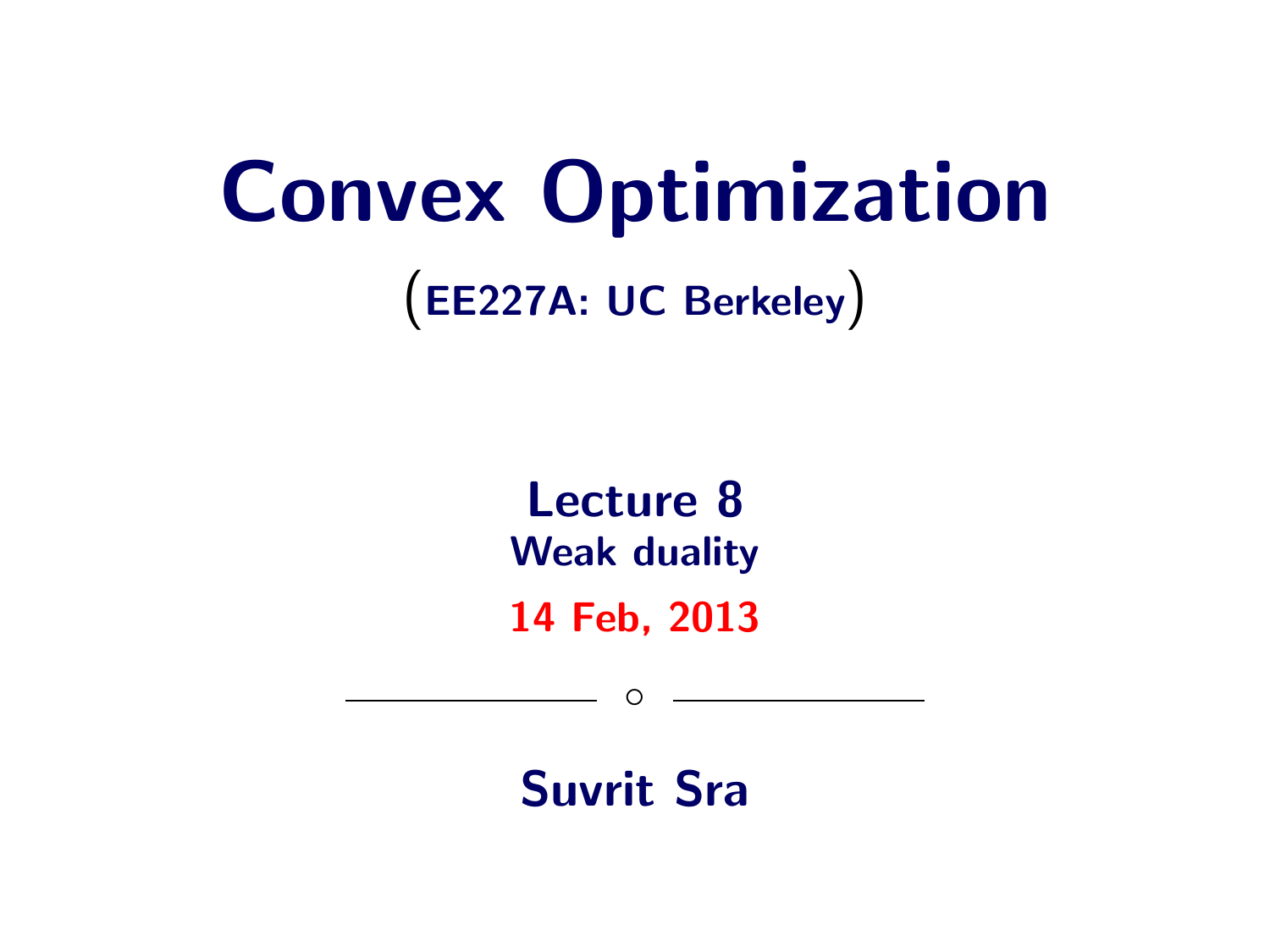# Convex Optimization

(EE227A: UC Berkeley)

Lecture 8 Weak duality

14 Feb, 2013

 $\circ$ 

Suvrit Sra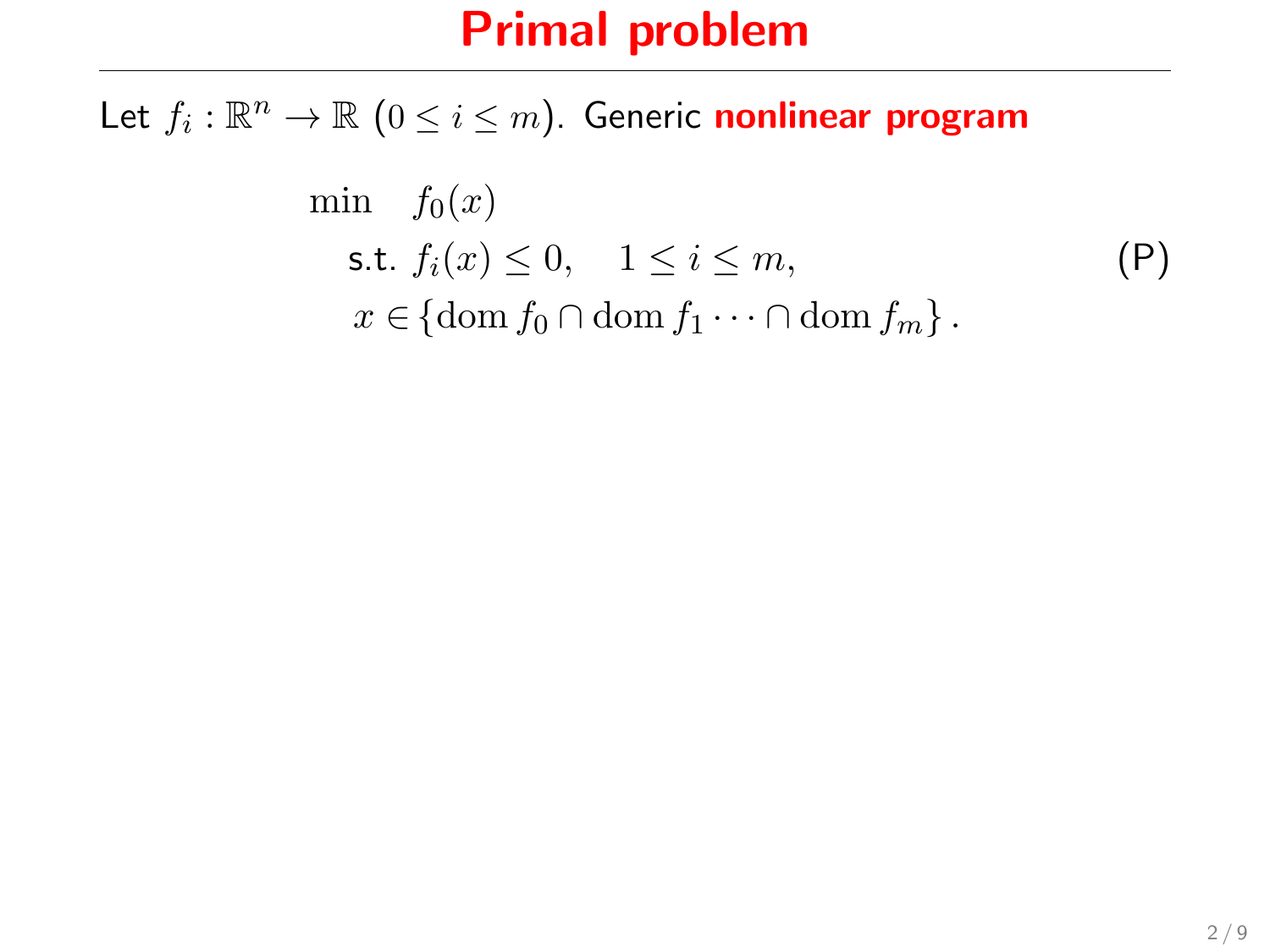Let  $f_i: \mathbb{R}^n \to \mathbb{R}$   $(0 \leq i \leq m)$ . Generic nonlinear program

$$
\min f_0(x)
$$
\n
$$
\text{s.t. } f_i(x) \le 0, \quad 1 \le i \le m,
$$
\n
$$
x \in \{\text{dom } f_0 \cap \text{dom } f_1 \cdots \cap \text{dom } f_m\}.
$$
\n
$$
(P)
$$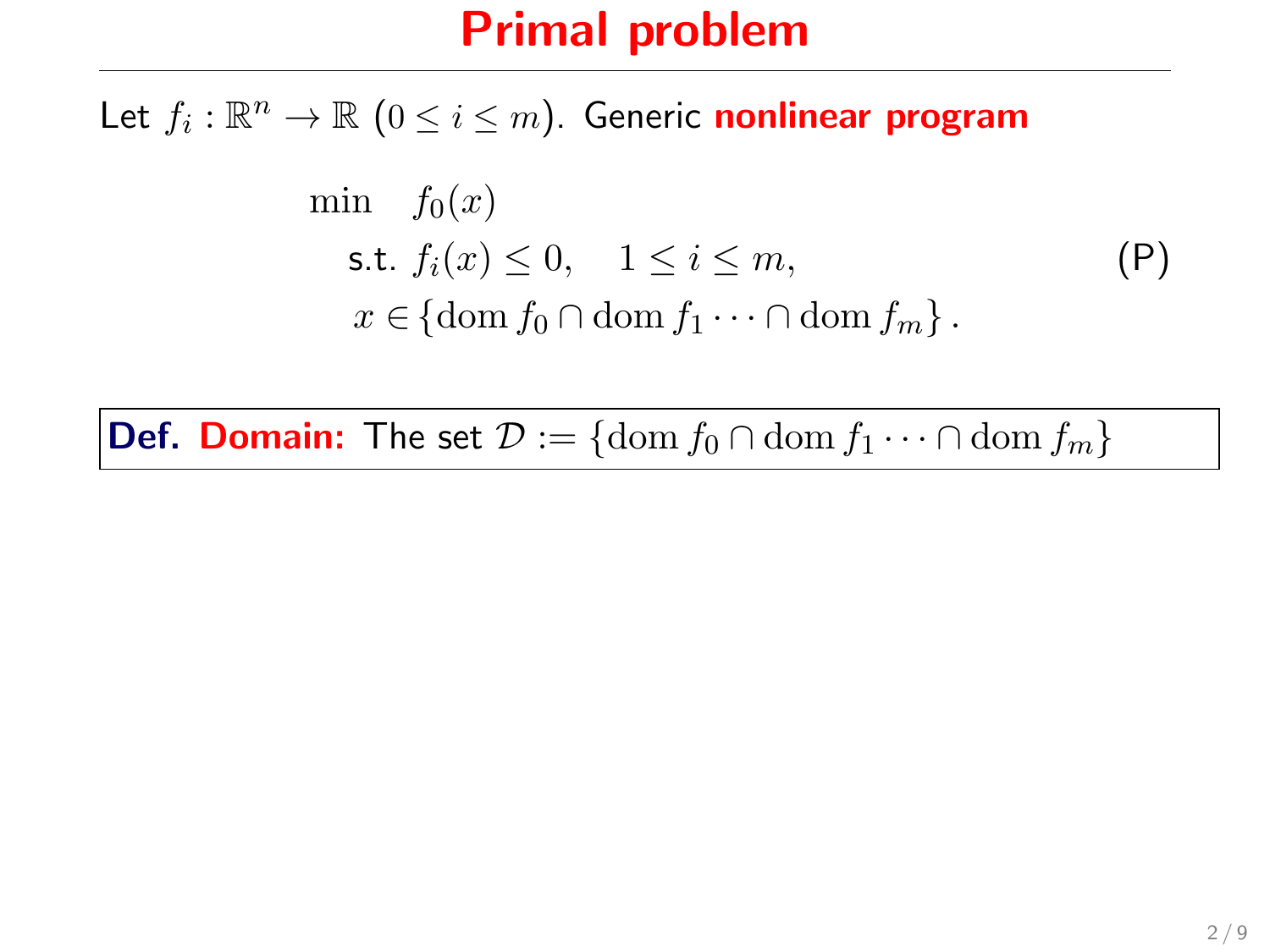Let  $f_i: \mathbb{R}^n \to \mathbb{R}$   $(0 \leq i \leq m)$ . Generic nonlinear program

$$
\min f_0(x)
$$
\n
$$
\text{s.t. } f_i(x) \le 0, \quad 1 \le i \le m,
$$
\n
$$
x \in \{\text{dom } f_0 \cap \text{dom } f_1 \cdots \cap \text{dom } f_m\}.
$$
\n
$$
(P)
$$

**Def. Domain:** The set  $\mathcal{D} := \{ \text{dom } f_0 \cap \text{dom } f_1 \cdots \cap \text{dom } f_m \}$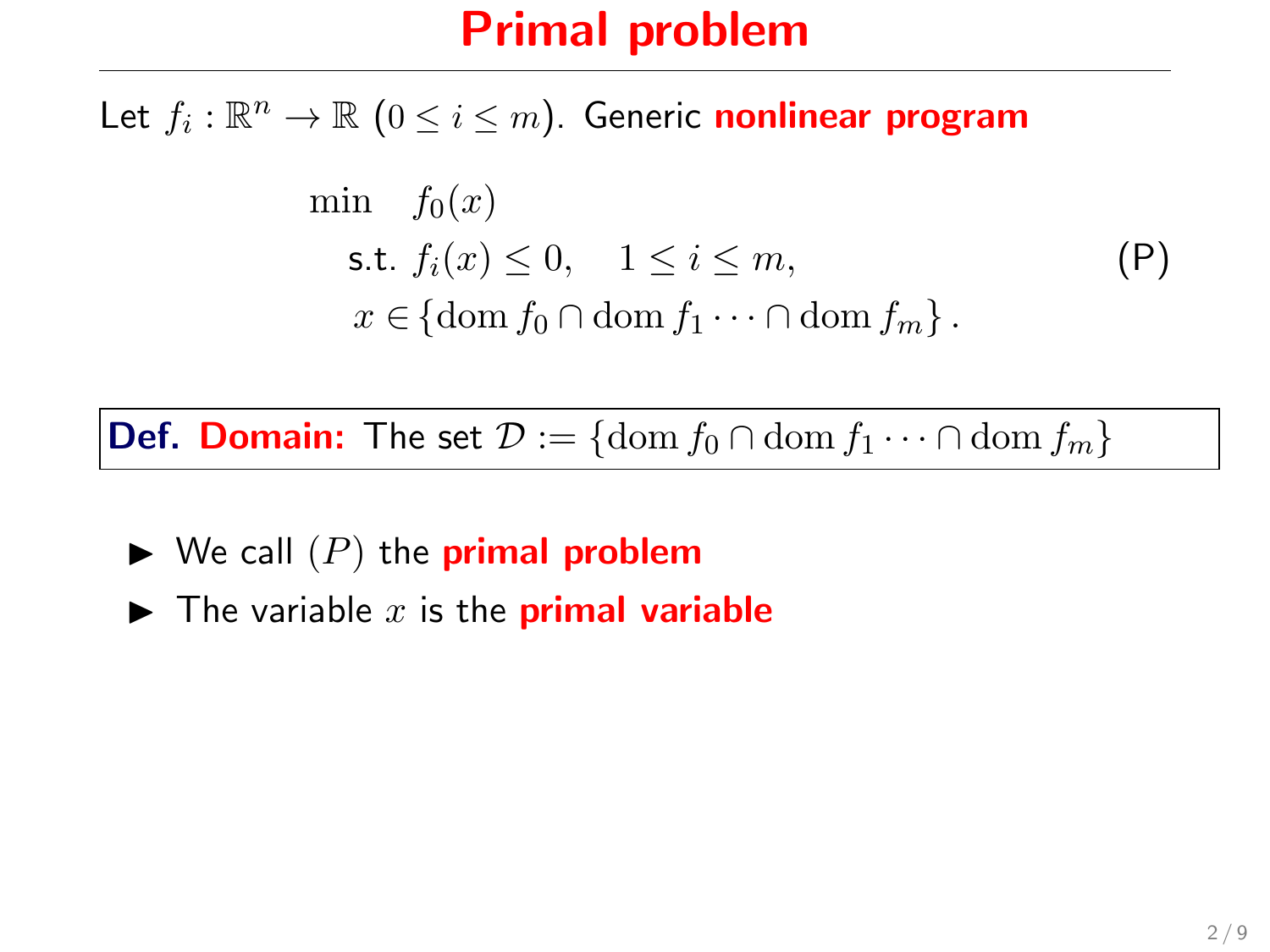Let  $f_i: \mathbb{R}^n \to \mathbb{R}$   $(0 \leq i \leq m)$ . Generic nonlinear program

$$
\min f_0(x)
$$
\n
$$
\text{s.t. } f_i(x) \le 0, \quad 1 \le i \le m,
$$
\n
$$
x \in \{\text{dom } f_0 \cap \text{dom } f_1 \cdots \cap \text{dom } f_m\}.
$$
\n
$$
(P)
$$

**Def. Domain:** The set  $\mathcal{D} := \{ \text{dom } f_0 \cap \text{dom } f_1 \cdots \cap \text{dom } f_m \}$ 

- $\blacktriangleright$  We call  $(P)$  the **primal problem**
- $\blacktriangleright$  The variable x is the **primal variable**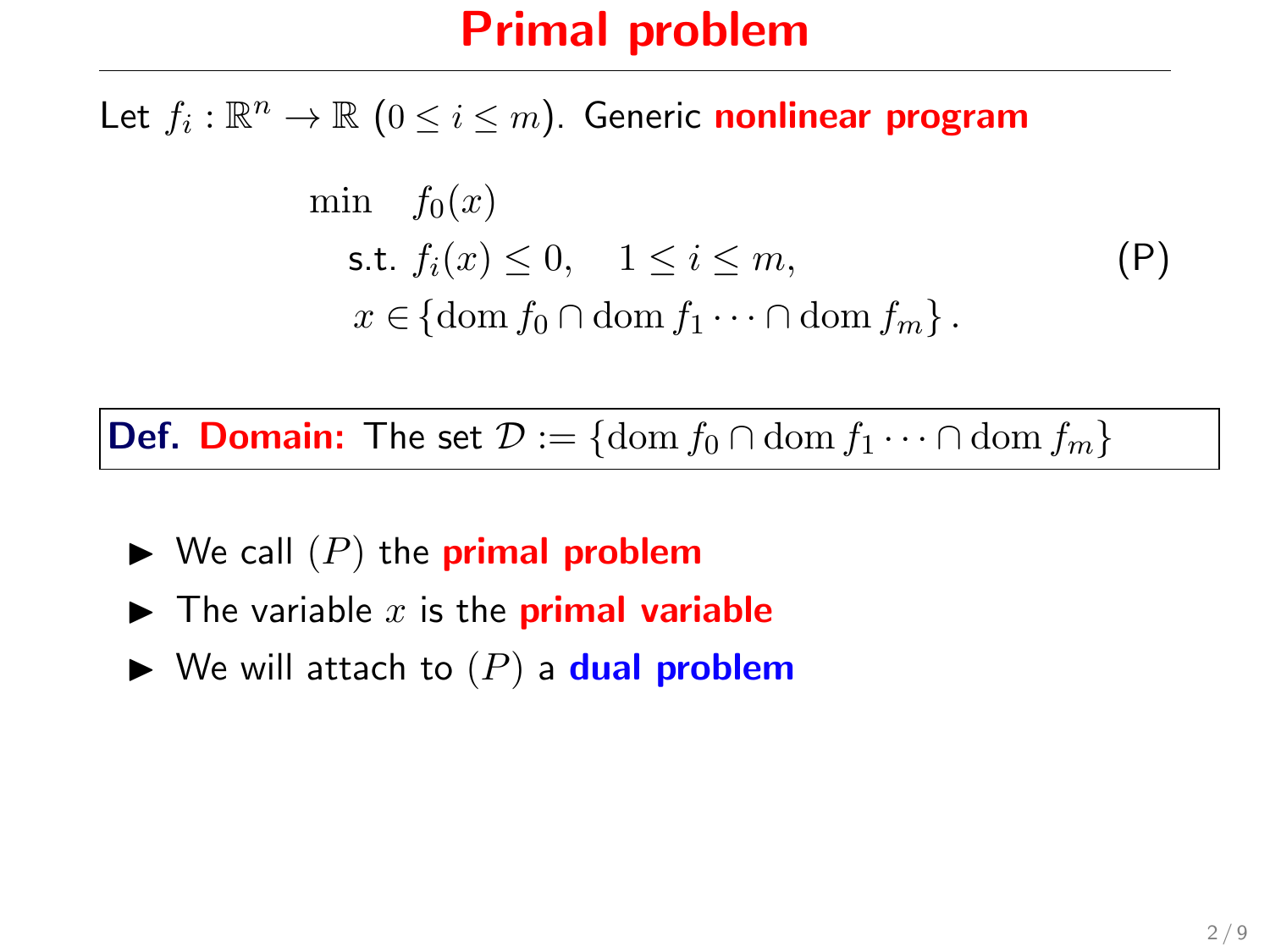Let  $f_i: \mathbb{R}^n \to \mathbb{R}$   $(0 \leq i \leq m)$ . Generic nonlinear program

$$
\min f_0(x)
$$
\n
$$
\text{s.t. } f_i(x) \le 0, \quad 1 \le i \le m,
$$
\n
$$
x \in \{\text{dom } f_0 \cap \text{dom } f_1 \cdots \cap \text{dom } f_m\}.
$$
\n
$$
(P)
$$

**Def. Domain:** The set  $\mathcal{D} := \{ \text{dom } f_0 \cap \text{dom } f_1 \cdots \cap \text{dom } f_m \}$ 

- $\blacktriangleright$  We call  $(P)$  the **primal problem**
- $\blacktriangleright$  The variable x is the **primal variable**
- $\blacktriangleright$  We will attach to  $(P)$  a **dual problem**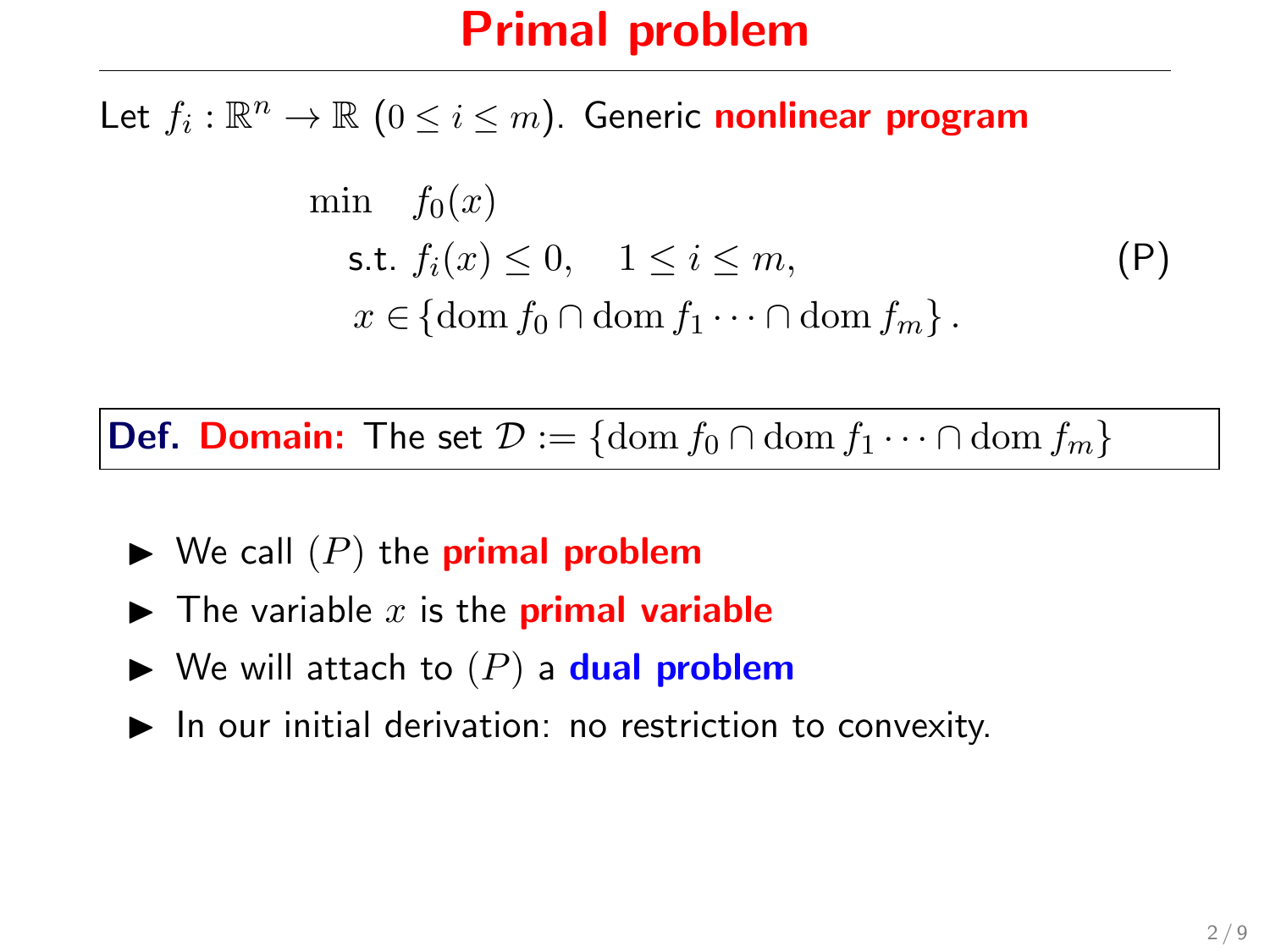Let  $f_i: \mathbb{R}^n \to \mathbb{R}$   $(0 \leq i \leq m)$ . Generic nonlinear program

$$
\min f_0(x)
$$
\n
$$
\text{s.t. } f_i(x) \le 0, \quad 1 \le i \le m,
$$
\n
$$
x \in \{\text{dom } f_0 \cap \text{dom } f_1 \cdots \cap \text{dom } f_m\}.
$$
\n
$$
(P)
$$

**Def. Domain:** The set  $\mathcal{D} := \{\text{dom } f_0 \cap \text{dom } f_1 \cdots \cap \text{dom } f_m\}$ 

- $\blacktriangleright$  We call  $(P)$  the **primal problem**
- $\blacktriangleright$  The variable x is the **primal variable**
- $\blacktriangleright$  We will attach to  $(P)$  a dual problem
- $\blacktriangleright$  In our initial derivation: no restriction to convexity.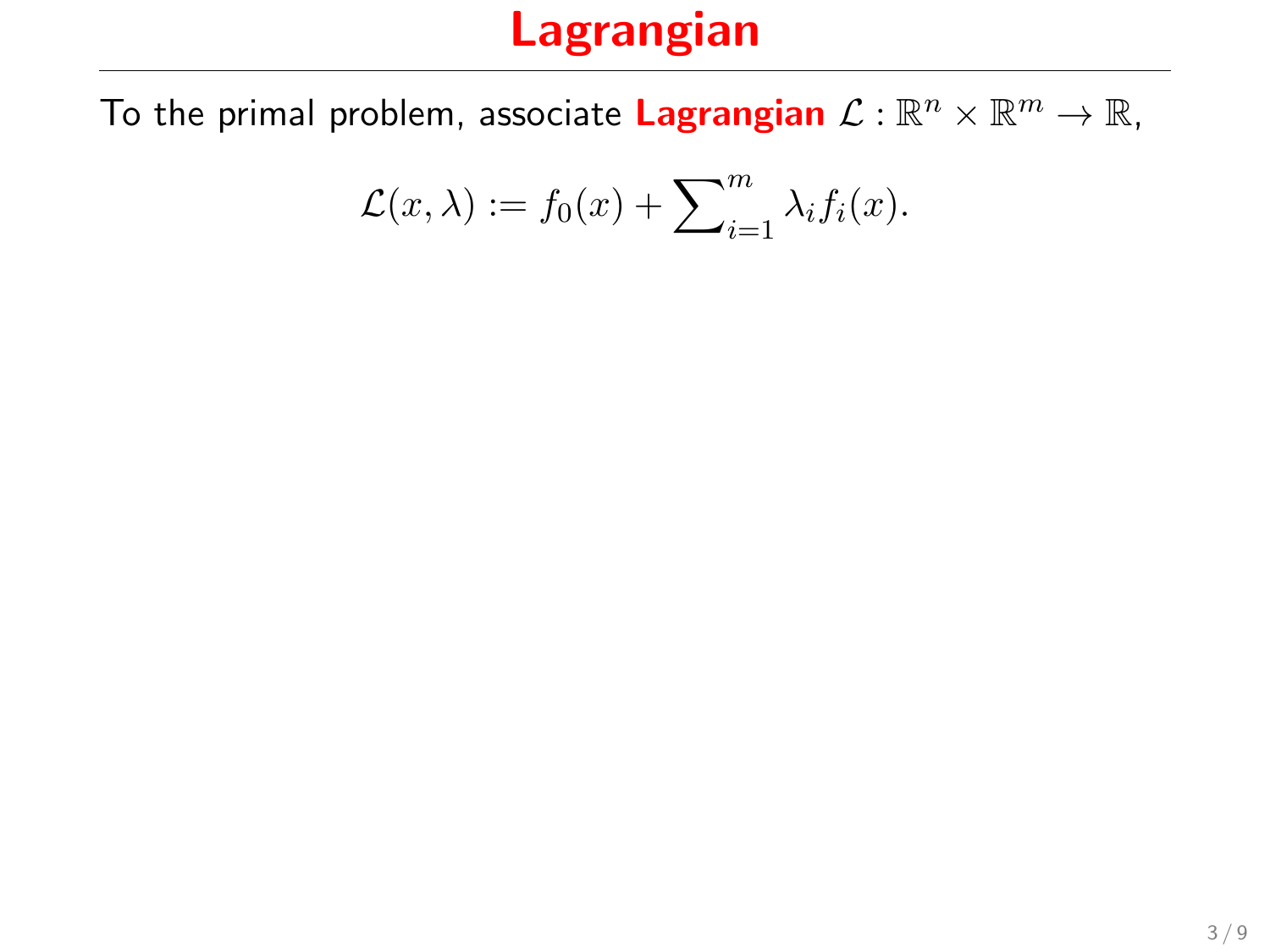To the primal problem, associate Lagrangian  $\mathcal{L}:\mathbb{R}^n\times\mathbb{R}^m\to\mathbb{R}$ ,

$$
\mathcal{L}(x,\lambda) := f_0(x) + \sum_{i=1}^m \lambda_i f_i(x).
$$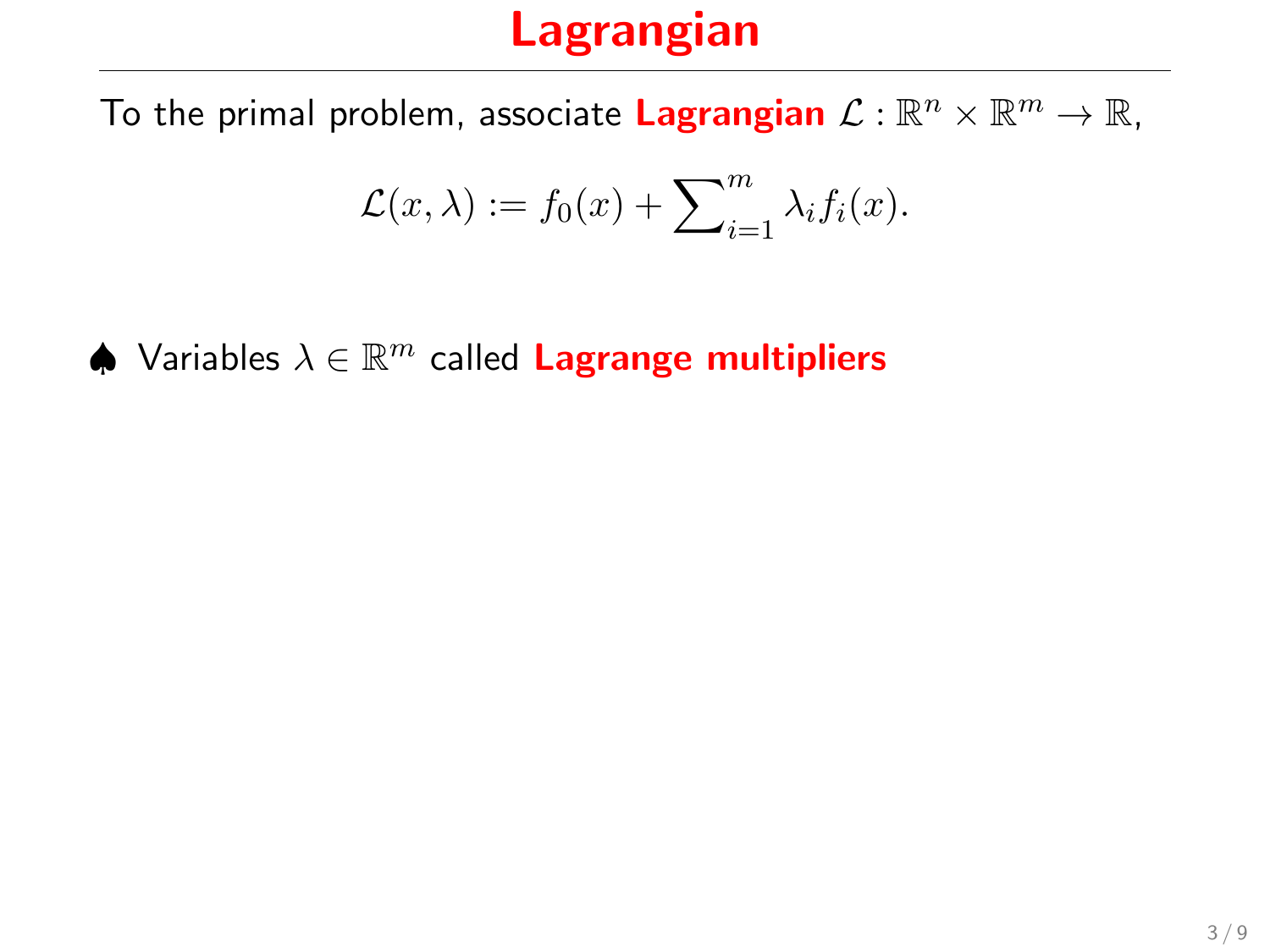To the primal problem, associate Lagrangian  $\mathcal{L}:\mathbb{R}^n\times\mathbb{R}^m\to\mathbb{R}$ ,

$$
\mathcal{L}(x,\lambda) := f_0(x) + \sum_{i=1}^m \lambda_i f_i(x).
$$

 $\spadesuit$  Variables  $\lambda \in \mathbb{R}^m$  called Lagrange multipliers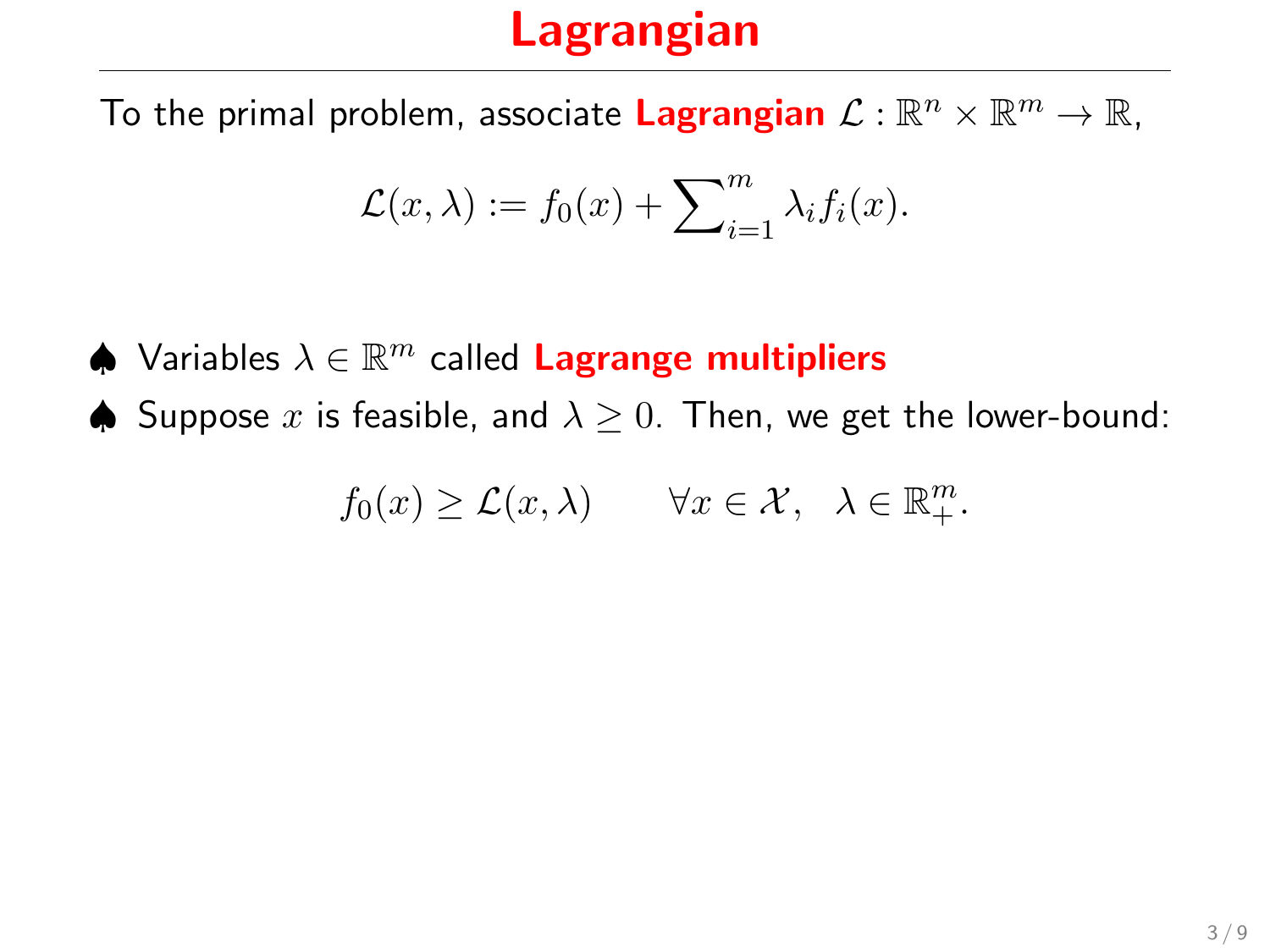To the primal problem, associate Lagrangian  $\mathcal{L}:\mathbb{R}^n\times\mathbb{R}^m\to\mathbb{R}$ ,

$$
\mathcal{L}(x,\lambda) := f_0(x) + \sum_{i=1}^m \lambda_i f_i(x).
$$

 $\spadesuit$  Variables  $\lambda \in \mathbb{R}^m$  called Lagrange multipliers

**♦** Suppose x is feasible, and  $\lambda > 0$ . Then, we get the lower-bound:

$$
f_0(x) \geq \mathcal{L}(x,\lambda) \qquad \forall x \in \mathcal{X}, \ \lambda \in \mathbb{R}_+^m.
$$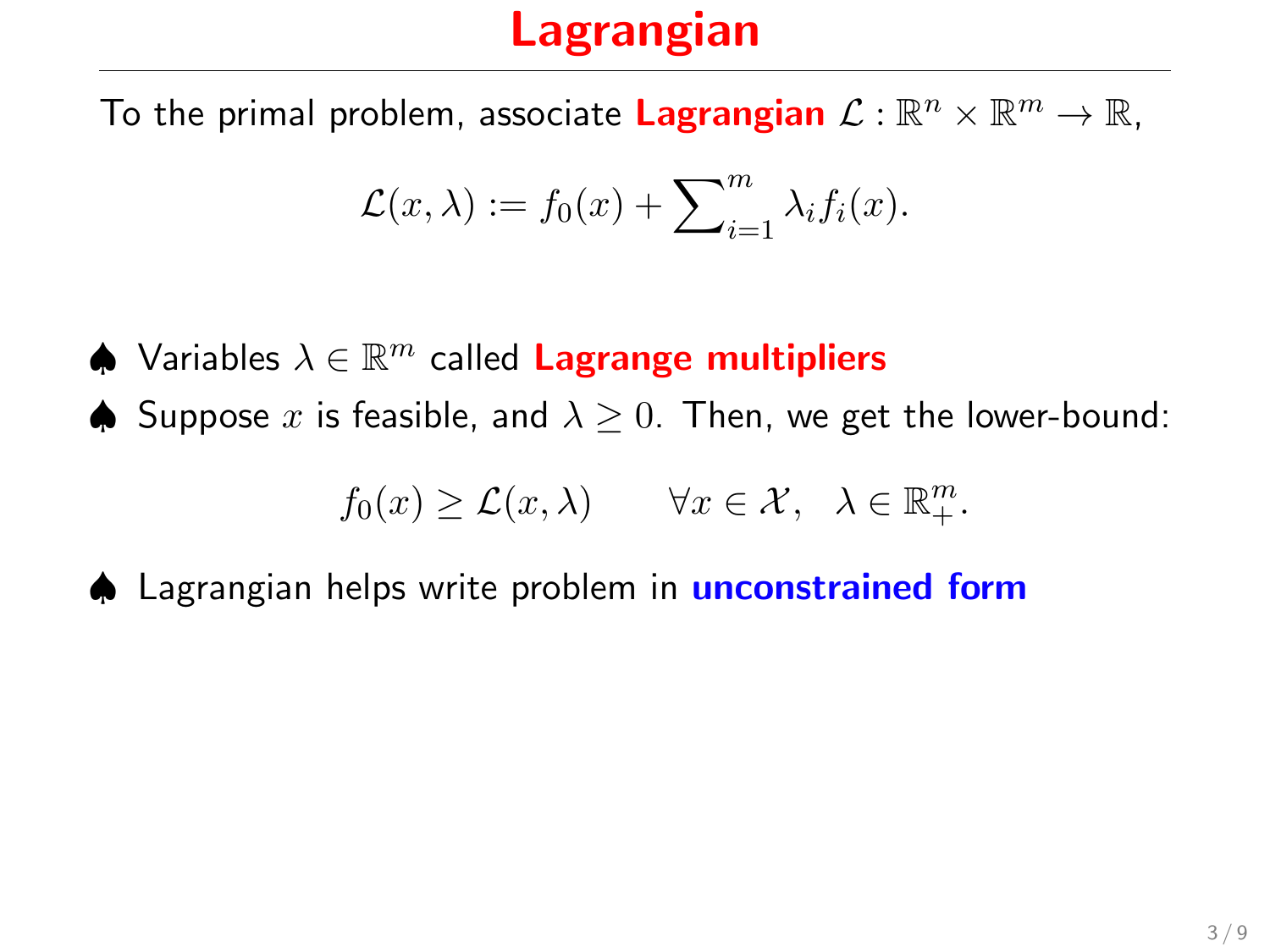To the primal problem, associate Lagrangian  $\mathcal{L}:\mathbb{R}^n\times\mathbb{R}^m\to\mathbb{R}$ ,

$$
\mathcal{L}(x,\lambda) := f_0(x) + \sum_{i=1}^m \lambda_i f_i(x).
$$

- $\spadesuit$  Variables  $\lambda \in \mathbb{R}^m$  called Lagrange multipliers
- ♦ Suppose x is feasible, and  $\lambda \geq 0$ . Then, we get the lower-bound:

$$
f_0(x) \geq \mathcal{L}(x,\lambda) \qquad \forall x \in \mathcal{X}, \ \lambda \in \mathbb{R}_+^m.
$$

♦ Lagrangian helps write problem in **unconstrained form**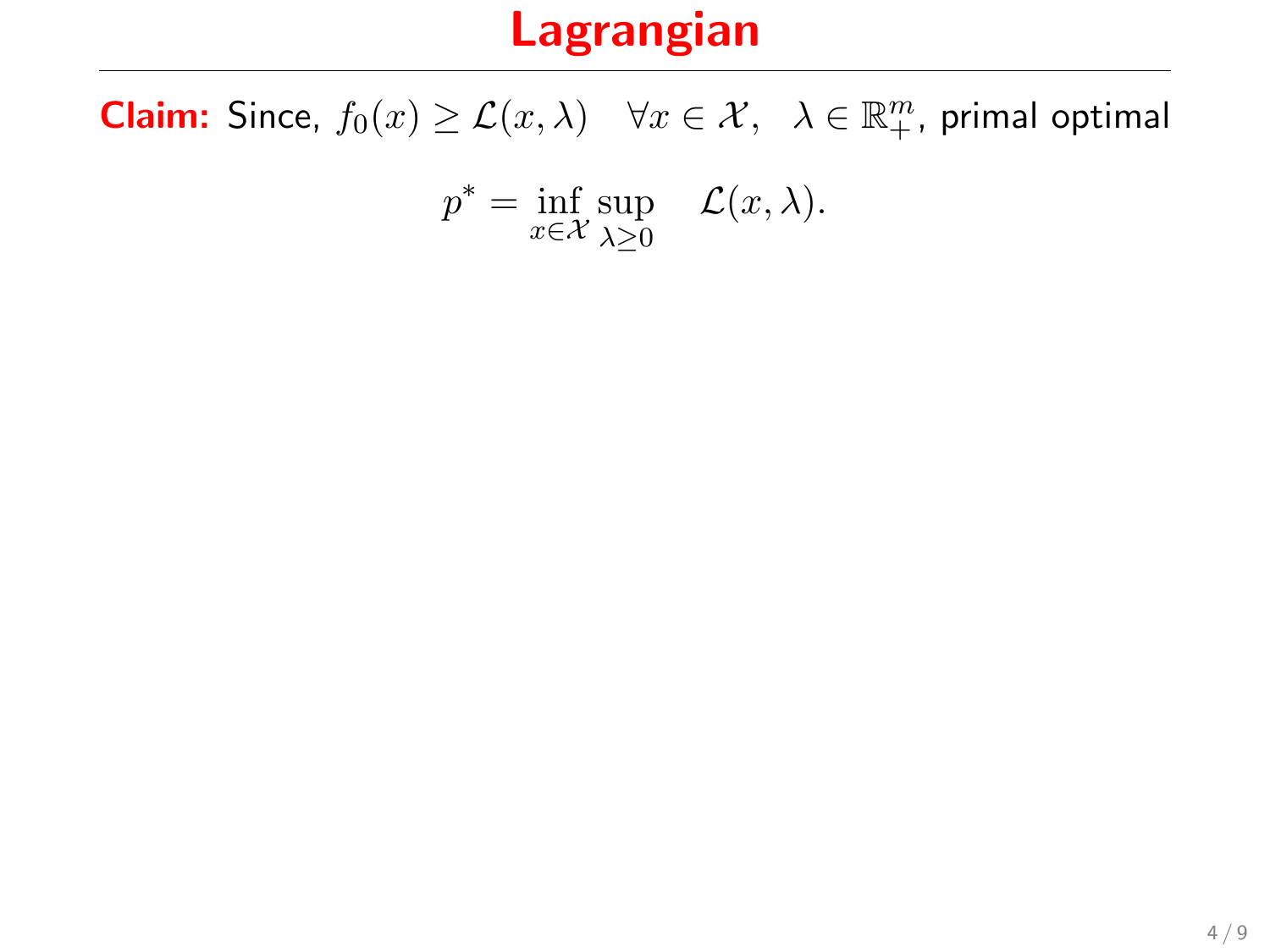**Claim:** Since,  $f_0(x) \geq \mathcal{L}(x, \lambda)$   $\forall x \in \mathcal{X}, \lambda \in \mathbb{R}_+^m$ , primal optimal

$$
p^* = \inf_{x \in \mathcal{X}} \sup_{\lambda \ge 0} \quad \mathcal{L}(x, \lambda).
$$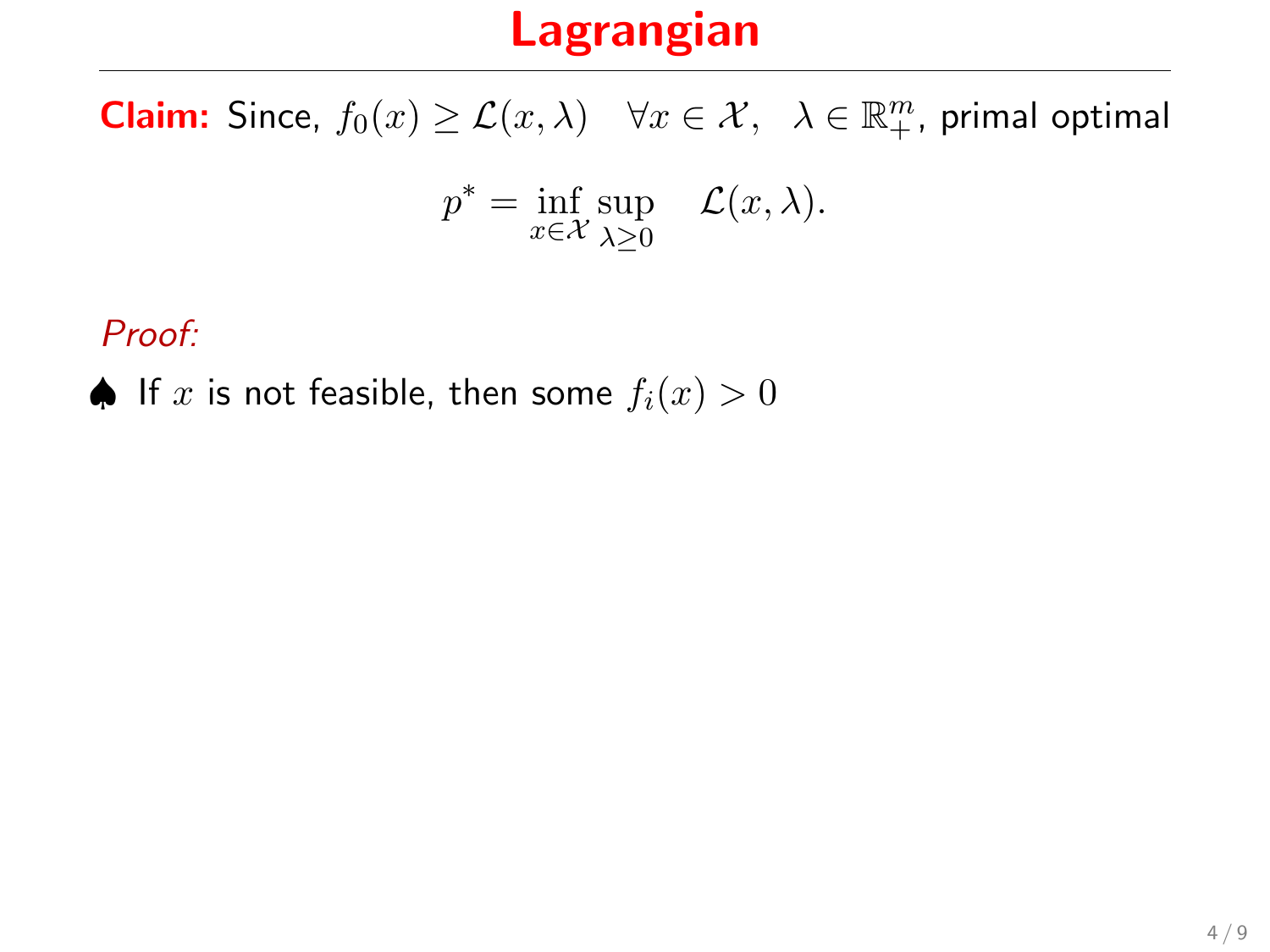**Claim:** Since,  $f_0(x) \geq \mathcal{L}(x, \lambda)$   $\forall x \in \mathcal{X}, \lambda \in \mathbb{R}_+^m$ , primal optimal

$$
p^* = \inf_{x \in \mathcal{X}} \sup_{\lambda \ge 0} \quad \mathcal{L}(x, \lambda).
$$

Proof:

♦ If x is not feasible, then some  $f_i(x) > 0$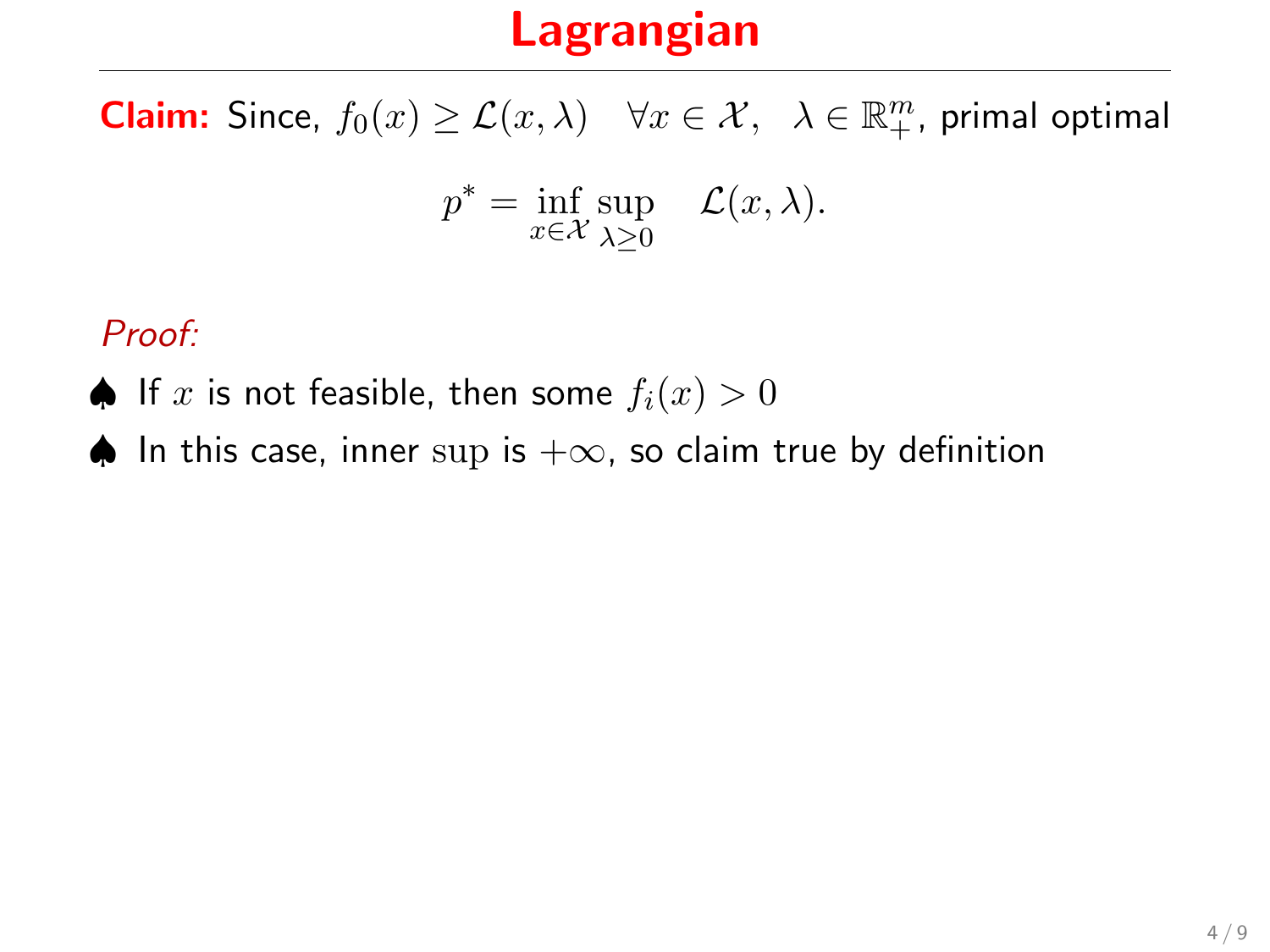**Claim:** Since,  $f_0(x) \geq \mathcal{L}(x, \lambda)$   $\forall x \in \mathcal{X}, \lambda \in \mathbb{R}_+^m$ , primal optimal

$$
p^* = \inf_{x \in \mathcal{X}} \sup_{\lambda \ge 0} \quad \mathcal{L}(x, \lambda).
$$

Proof:

- ♦ If x is not feasible, then some  $f_i(x) > 0$
- ♦ In this case, inner sup is  $+\infty$ , so claim true by definition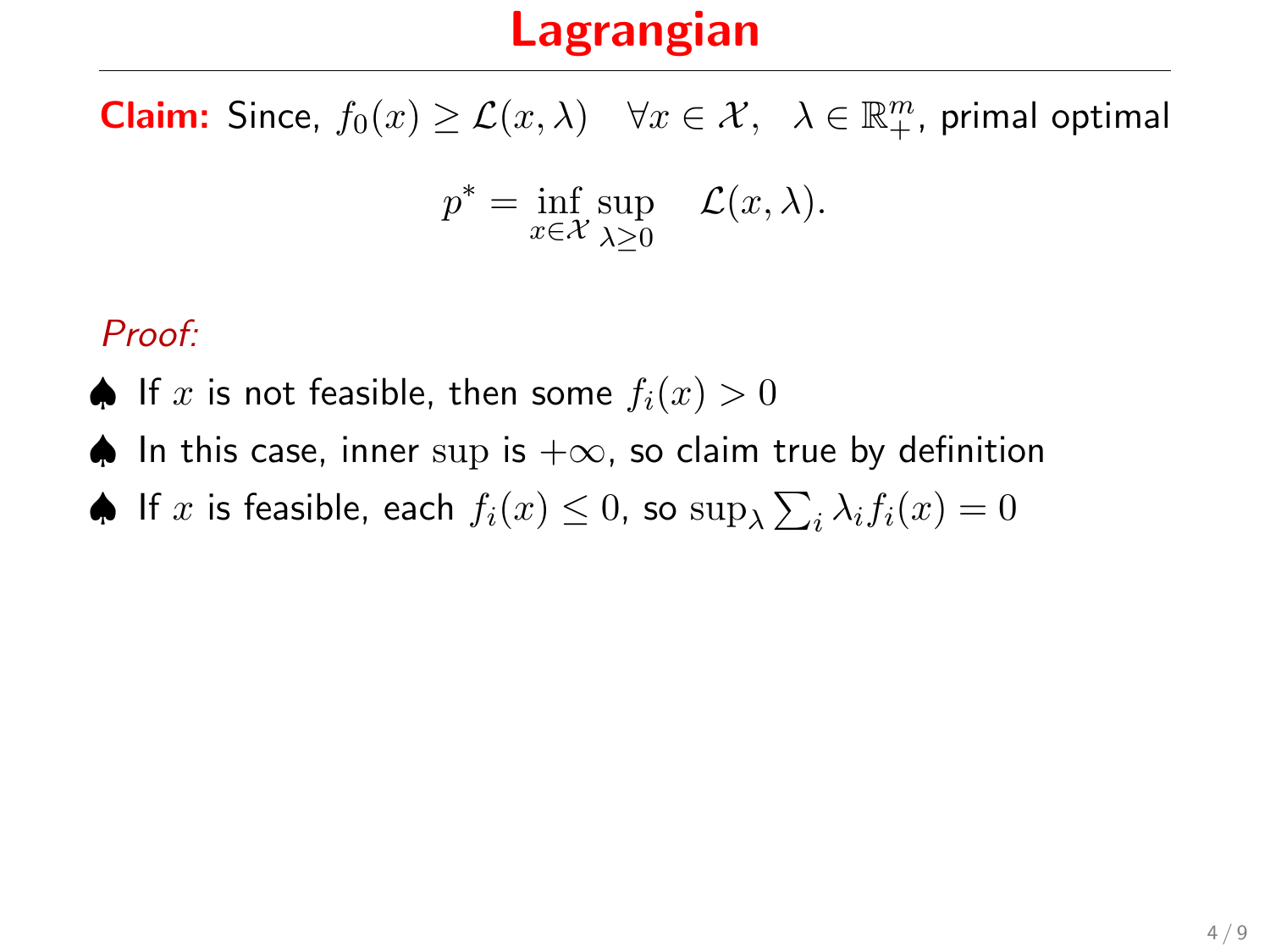**Claim:** Since,  $f_0(x) \geq \mathcal{L}(x, \lambda)$   $\forall x \in \mathcal{X}, \lambda \in \mathbb{R}_+^m$ , primal optimal

$$
p^* = \inf_{x \in \mathcal{X}} \sup_{\lambda \ge 0} \quad \mathcal{L}(x, \lambda).
$$

#### Proof:

- ♦ If x is not feasible, then some  $f_i(x) > 0$
- ♦ In this case, inner sup is  $+\infty$ , so claim true by definition
- $\spadesuit$  If  $x$  is feasible, each  $f_i(x) \leq 0$ , so  $\sup_{\lambda} \sum_i \lambda_i f_i(x) = 0$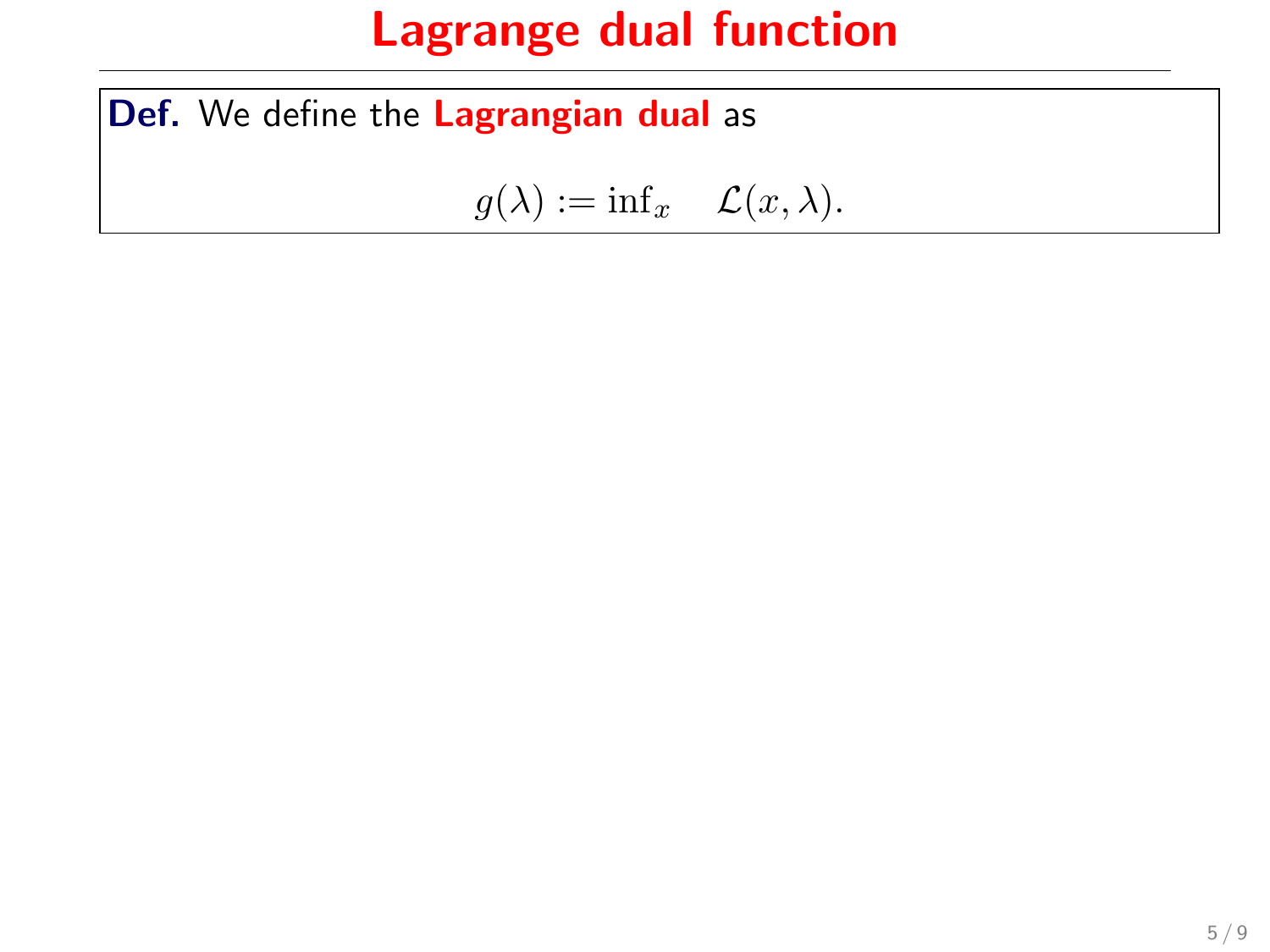Def. We define the Lagrangian dual as

 $g(\lambda) := \inf_x \mathcal{L}(x, \lambda).$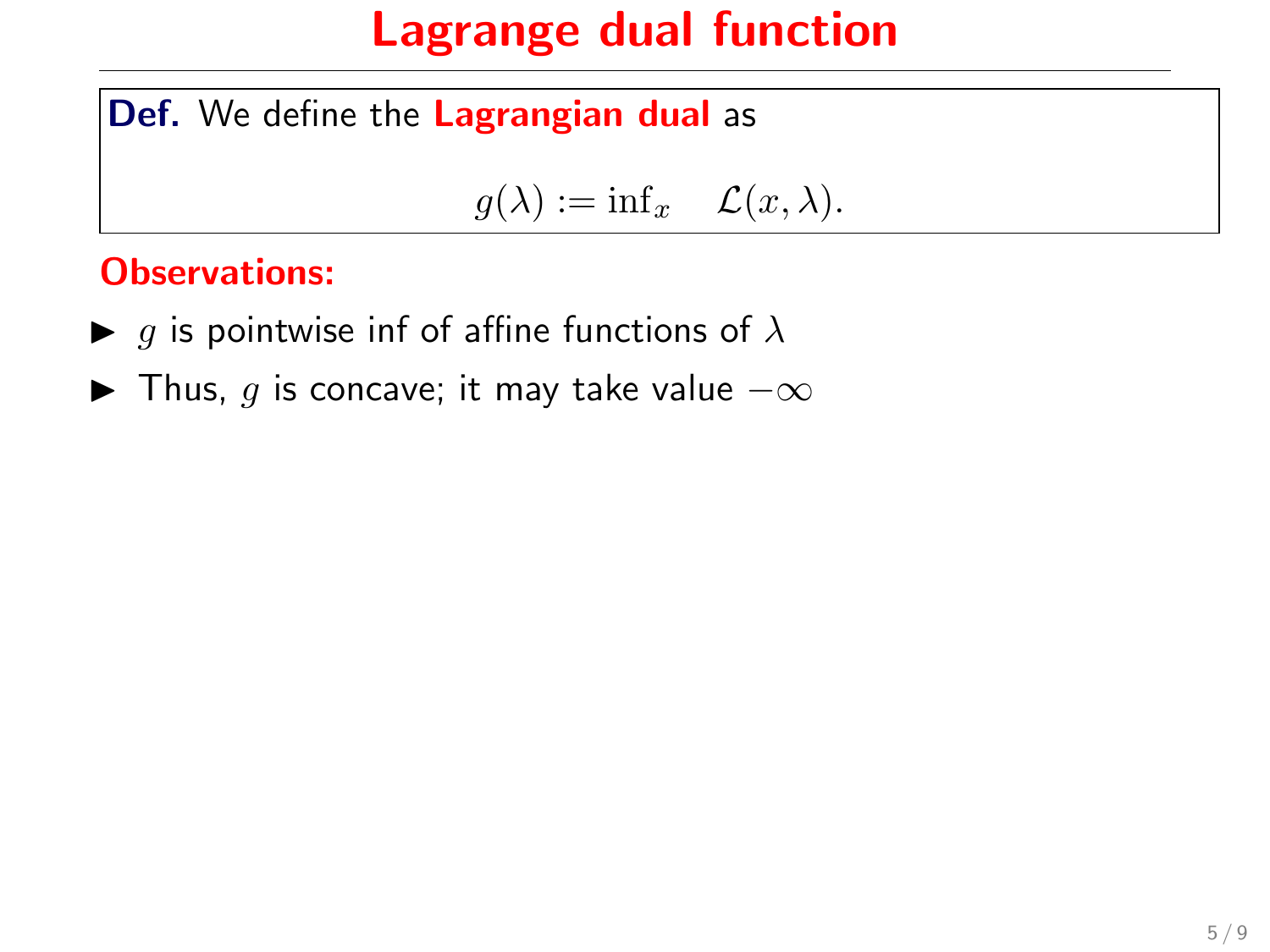Def. We define the Lagrangian dual as

$$
g(\lambda) := \inf x \quad \mathcal{L}(x, \lambda).
$$

#### Observations:

- $\blacktriangleright$  g is pointwise inf of affine functions of  $\lambda$
- $\blacktriangleright$  Thus, g is concave; it may take value  $-\infty$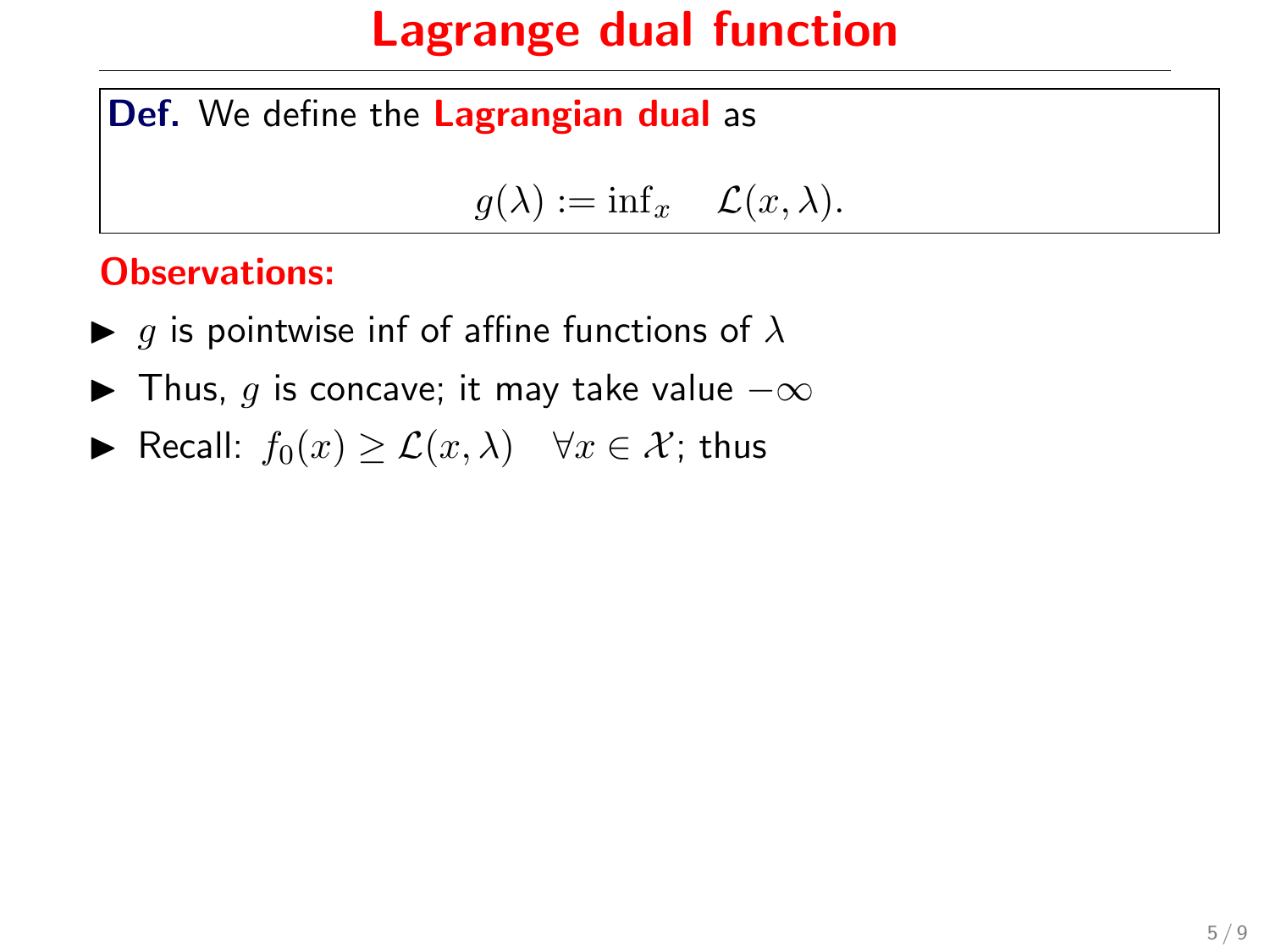Def. We define the Lagrangian dual as

 $g(\lambda) := \inf_x \mathcal{L}(x, \lambda).$ 

#### Observations:

- $\blacktriangleright$  g is pointwise inf of affine functions of  $\lambda$
- $\blacktriangleright$  Thus, g is concave; it may take value  $-\infty$
- ► Recall:  $f_0(x) \geq \mathcal{L}(x, \lambda)$   $\forall x \in \mathcal{X}$ ; thus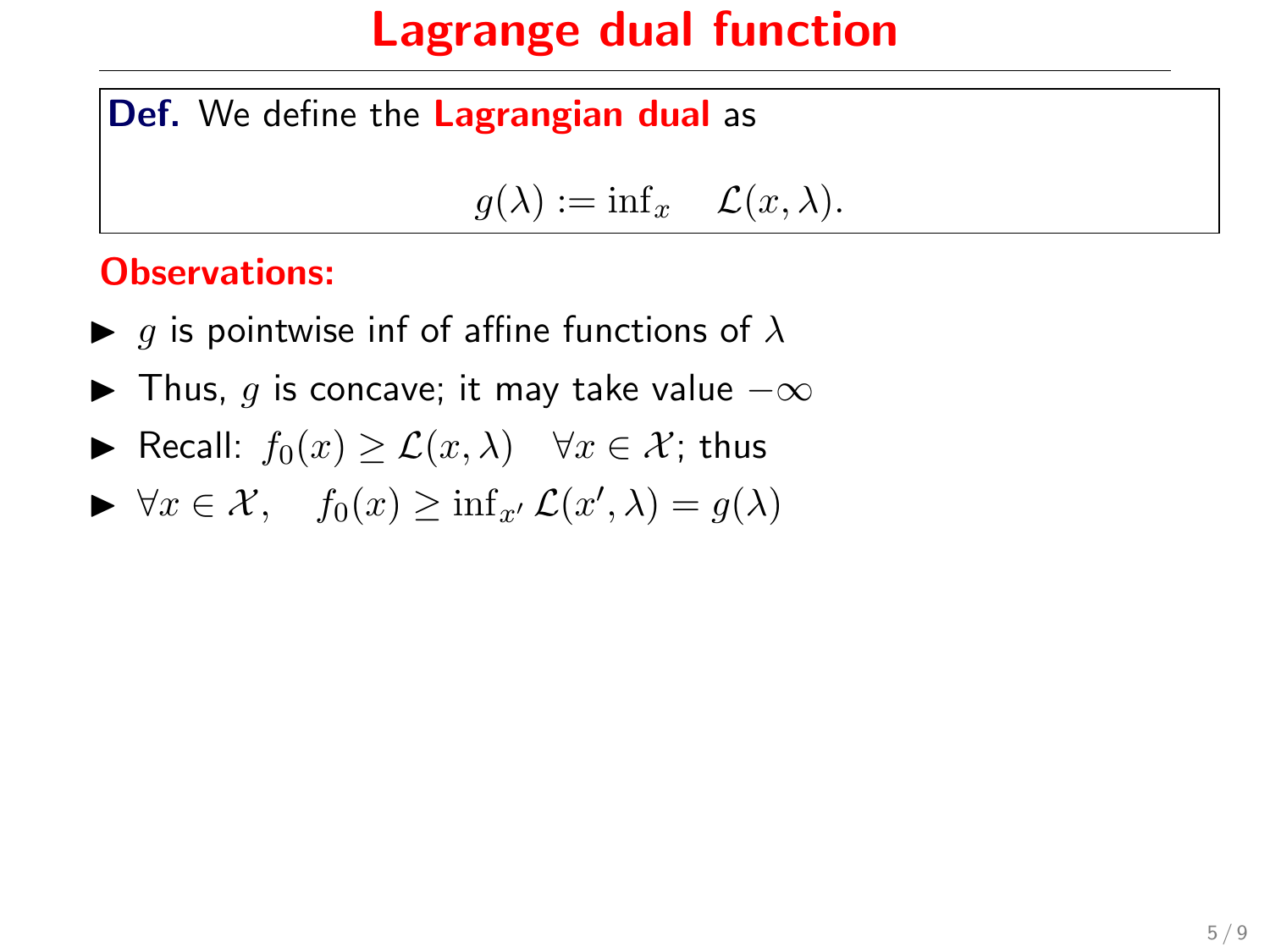#### Def. We define the Lagrangian dual as

$$
g(\lambda) := \inf x \quad \mathcal{L}(x, \lambda).
$$

#### Observations:

- $\blacktriangleright$  g is pointwise inf of affine functions of  $\lambda$
- $\blacktriangleright$  Thus, g is concave; it may take value  $-\infty$
- ► Recall:  $f_0(x) \geq \mathcal{L}(x, \lambda)$   $\forall x \in \mathcal{X}$ ; thus
- $\blacktriangleright \forall x \in \mathcal{X}, \quad f_0(x) \geq \inf_{x'} \mathcal{L}(x', \lambda) = g(\lambda)$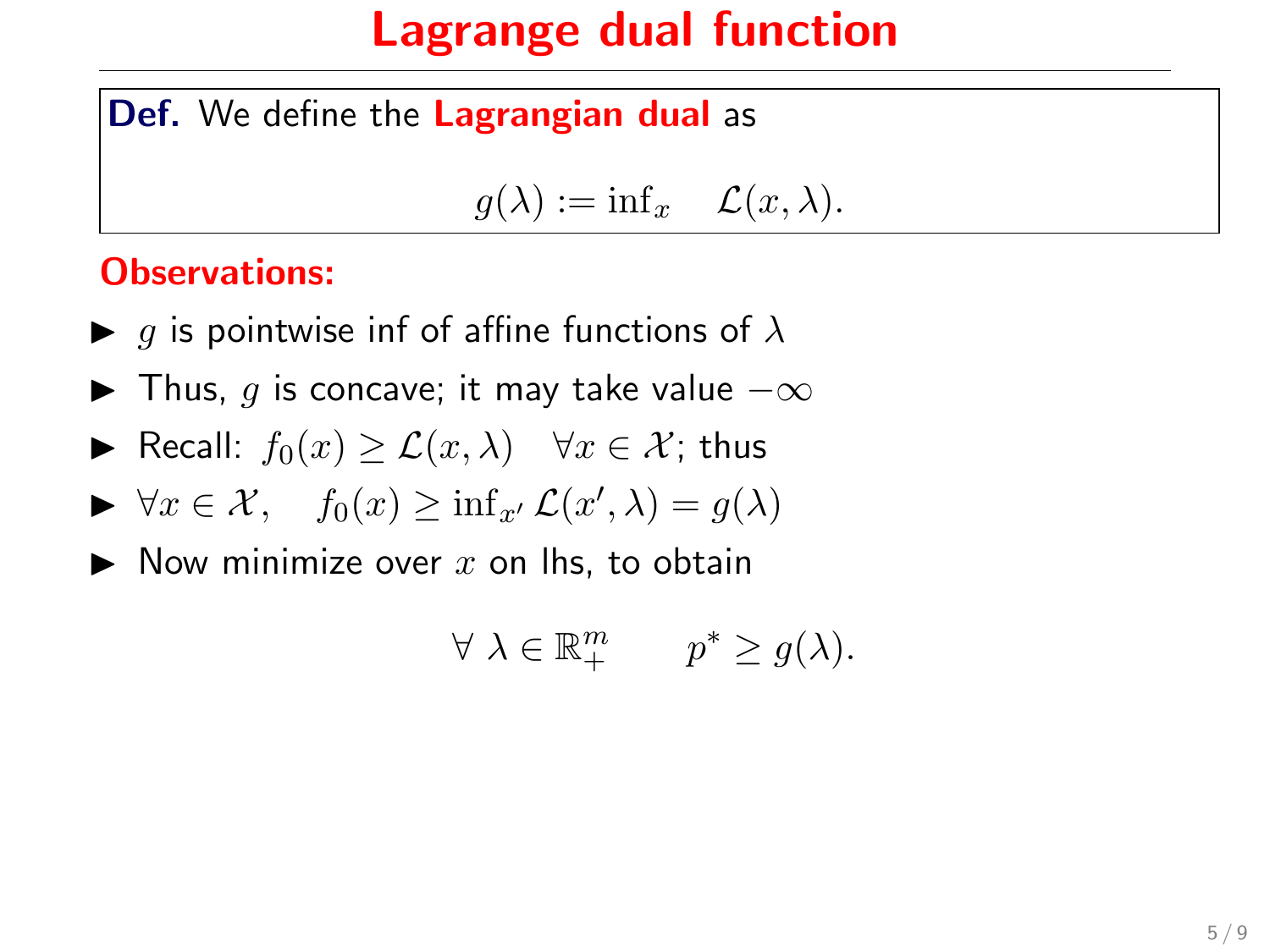#### Def. We define the Lagrangian dual as

$$
g(\lambda) := \inf x \quad \mathcal{L}(x, \lambda).
$$

#### Observations:

- $\blacktriangleright$  g is pointwise inf of affine functions of  $\lambda$
- $\blacktriangleright$  Thus, g is concave; it may take value  $-\infty$
- ► Recall:  $f_0(x) \geq \mathcal{L}(x, \lambda)$   $\forall x \in \mathcal{X}$ ; thus

$$
\blacktriangleright \forall x \in \mathcal{X}, \quad f_0(x) \ge \inf_{x'} \mathcal{L}(x', \lambda) = g(\lambda)
$$

 $\blacktriangleright$  Now minimize over x on lhs, to obtain

$$
\forall \ \lambda \in \mathbb{R}_+^m \qquad p^* \geq g(\lambda).
$$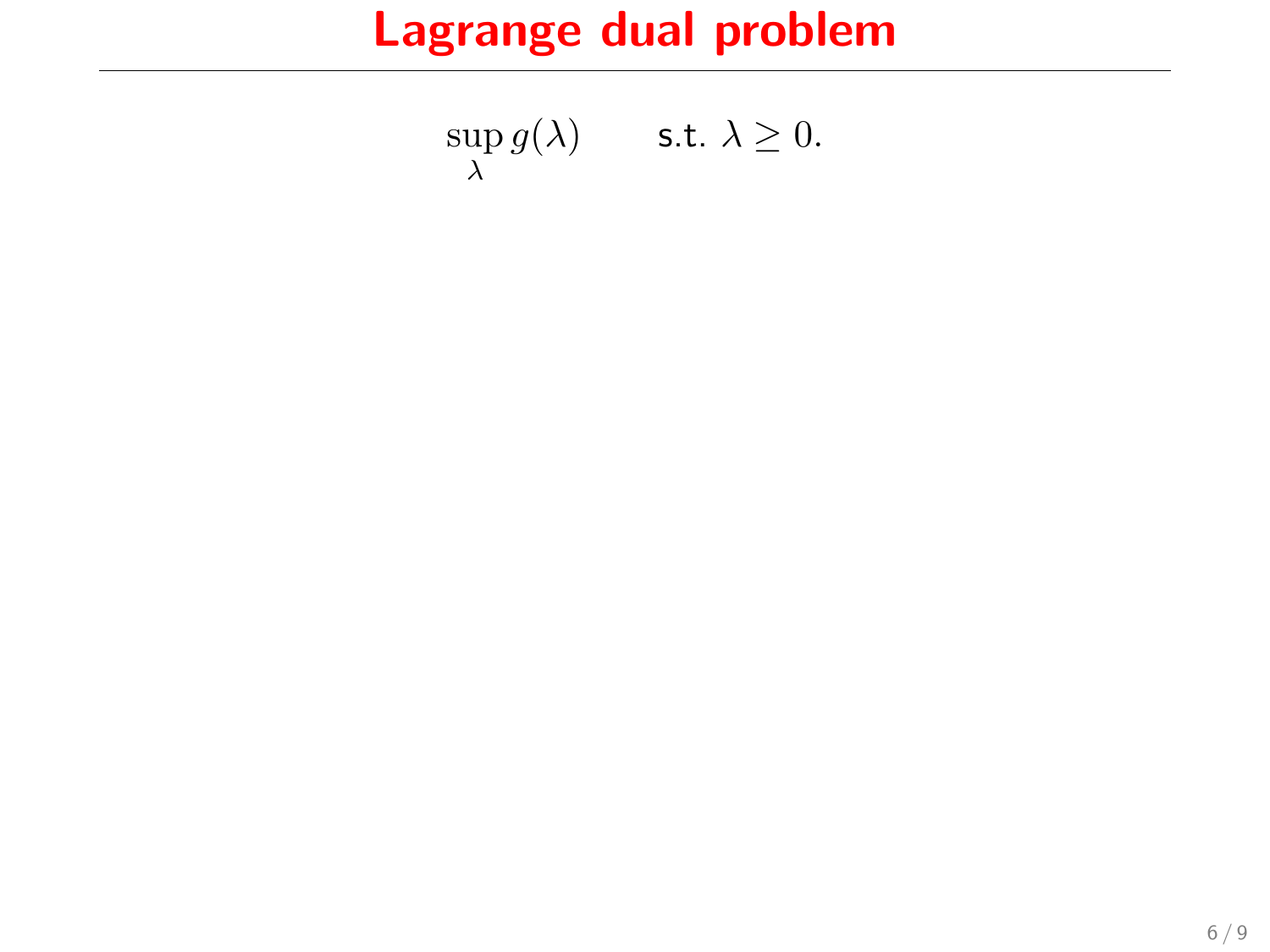# Lagrange dual problem

$$
\sup_{\lambda} g(\lambda) \qquad \text{s.t. } \lambda \ge 0.
$$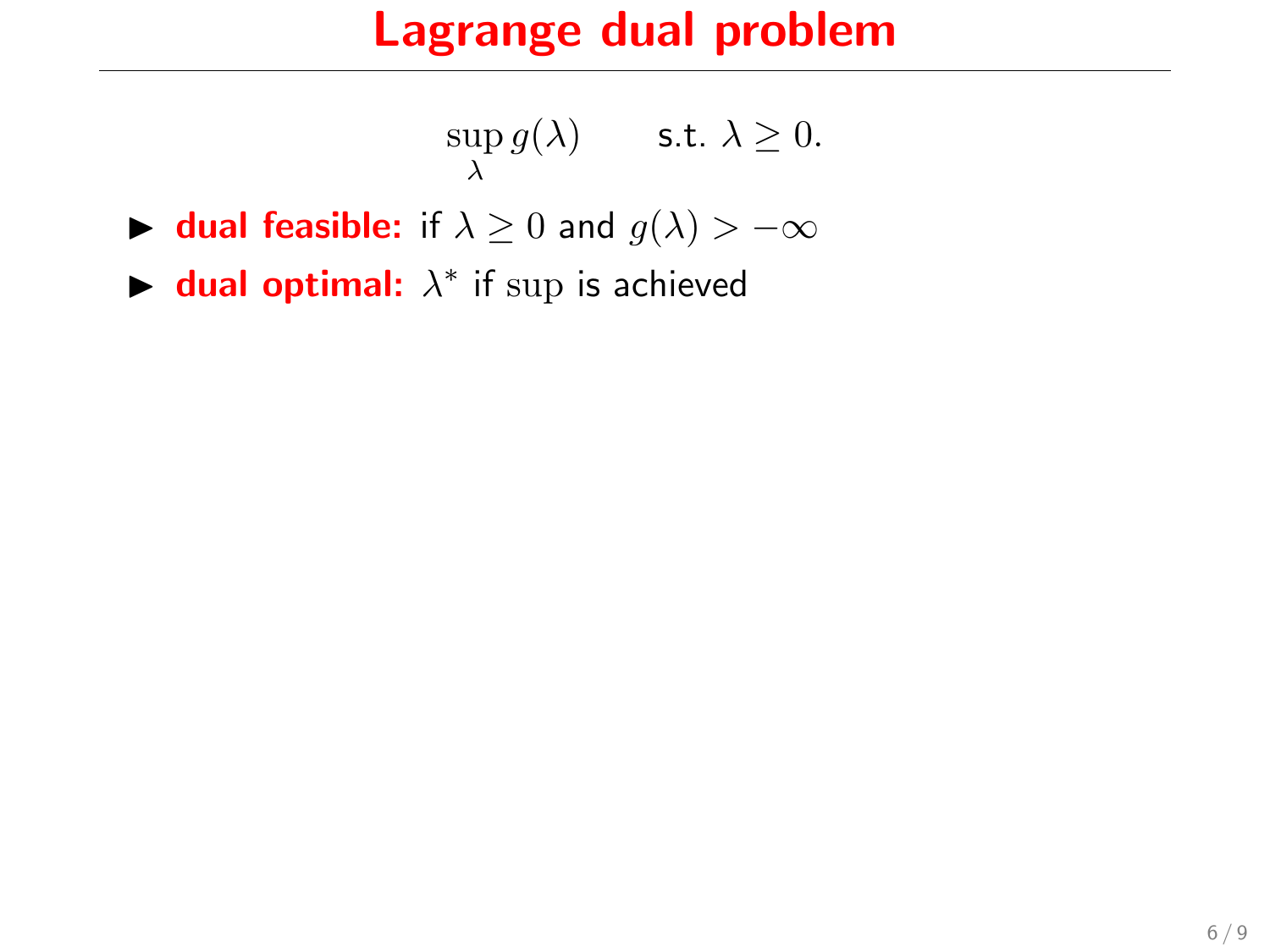### Lagrange dual problem

$$
\sup_{\lambda} g(\lambda) \qquad \text{s.t. } \lambda \ge 0.
$$

- **► dual feasible:** if  $\lambda \geq 0$  and  $g(\lambda) > -\infty$
- $\blacktriangleright$  dual optimal:  $\lambda^*$  if sup is achieved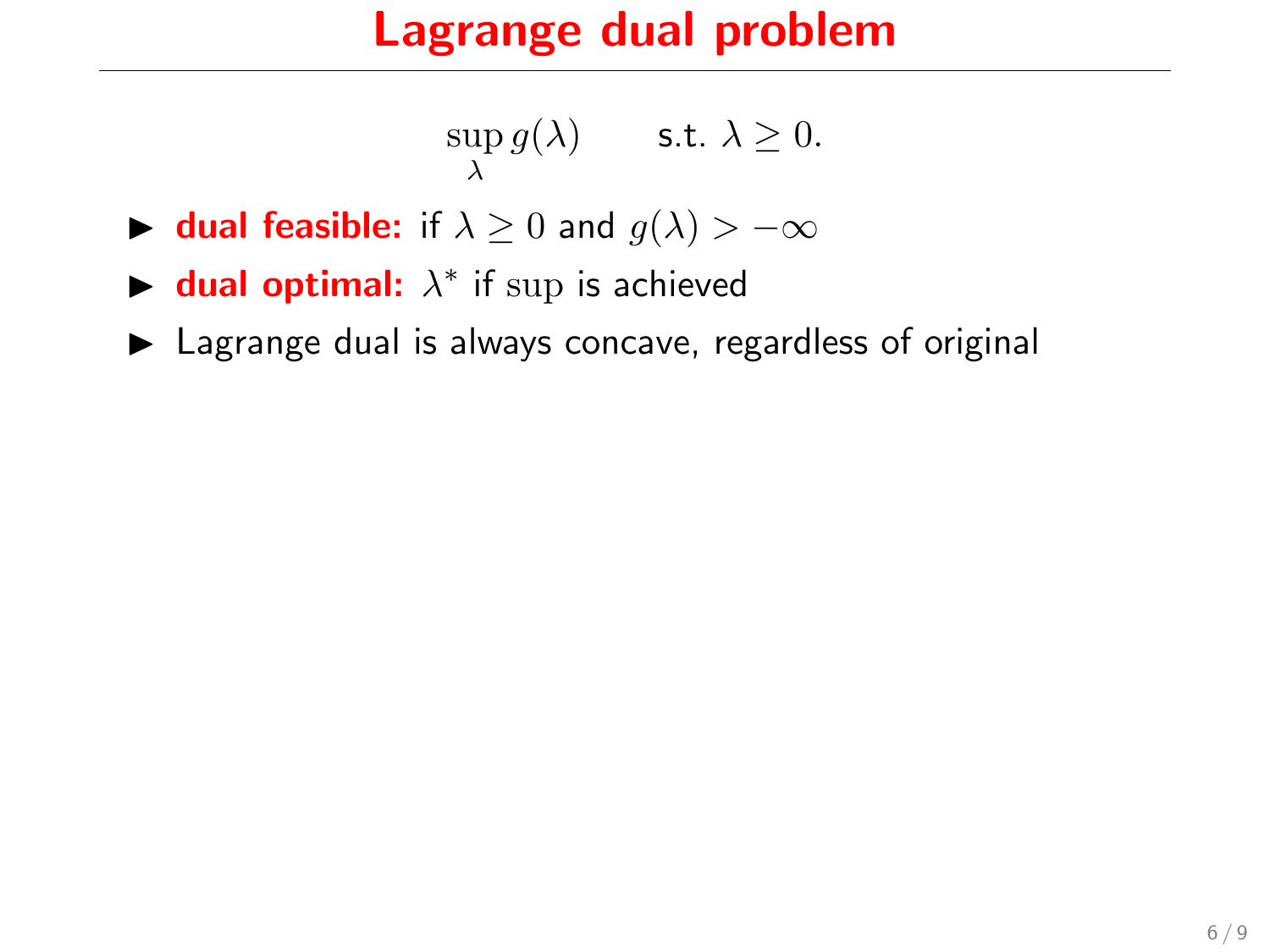### Lagrange dual problem

$$
\sup_{\lambda} g(\lambda) \qquad \text{s.t. } \lambda \ge 0.
$$

- **► dual feasible:** if  $\lambda \geq 0$  and  $g(\lambda) > -\infty$
- $\blacktriangleright$  dual optimal:  $\lambda^*$  if sup is achieved
- $\blacktriangleright$  Lagrange dual is always concave, regardless of original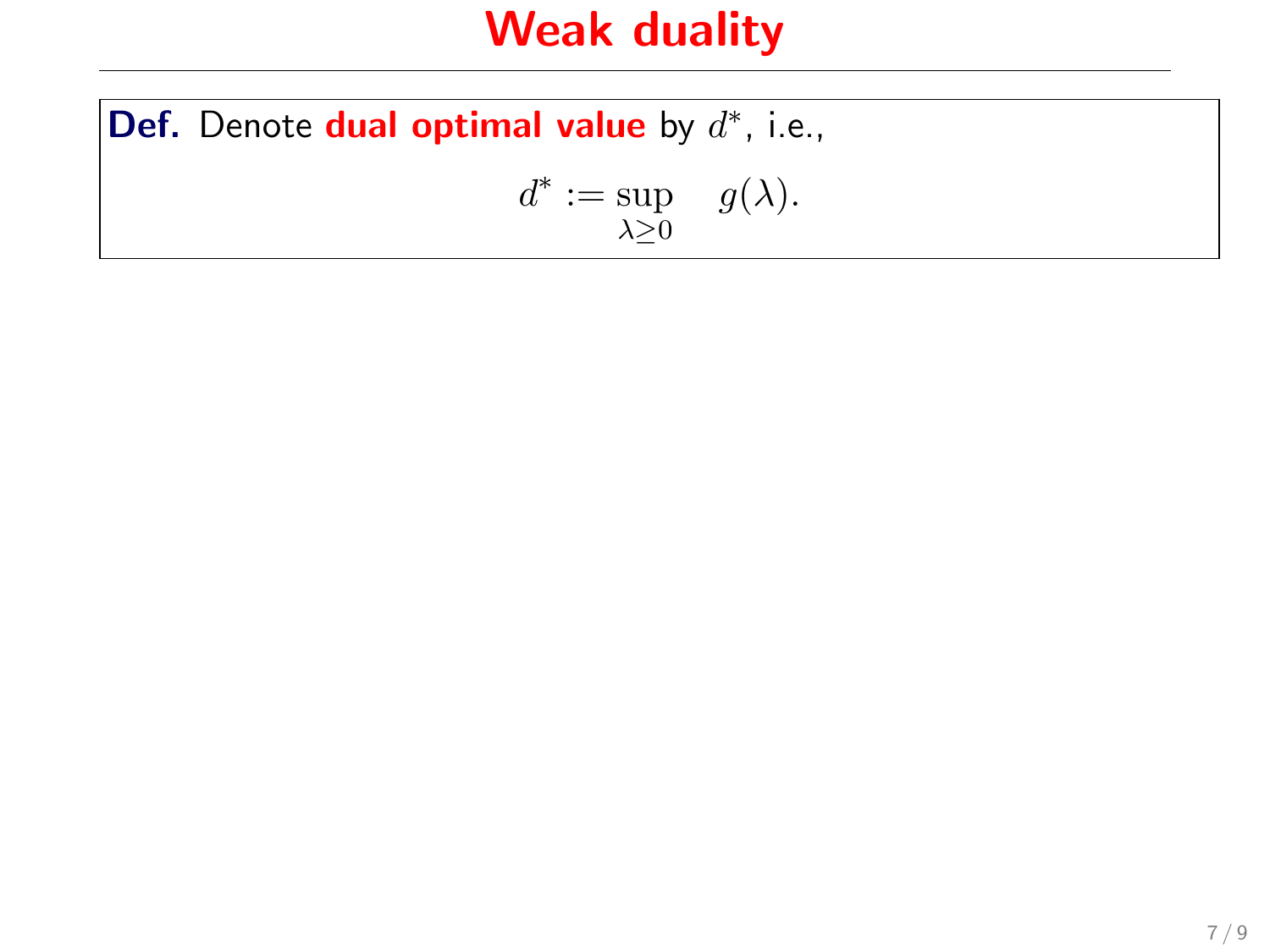# Weak duality

Def. Denote dual optimal value by  $d^*$ , i.e.,  $d^* := \sup \ g(\lambda).$  $\lambda \geq 0$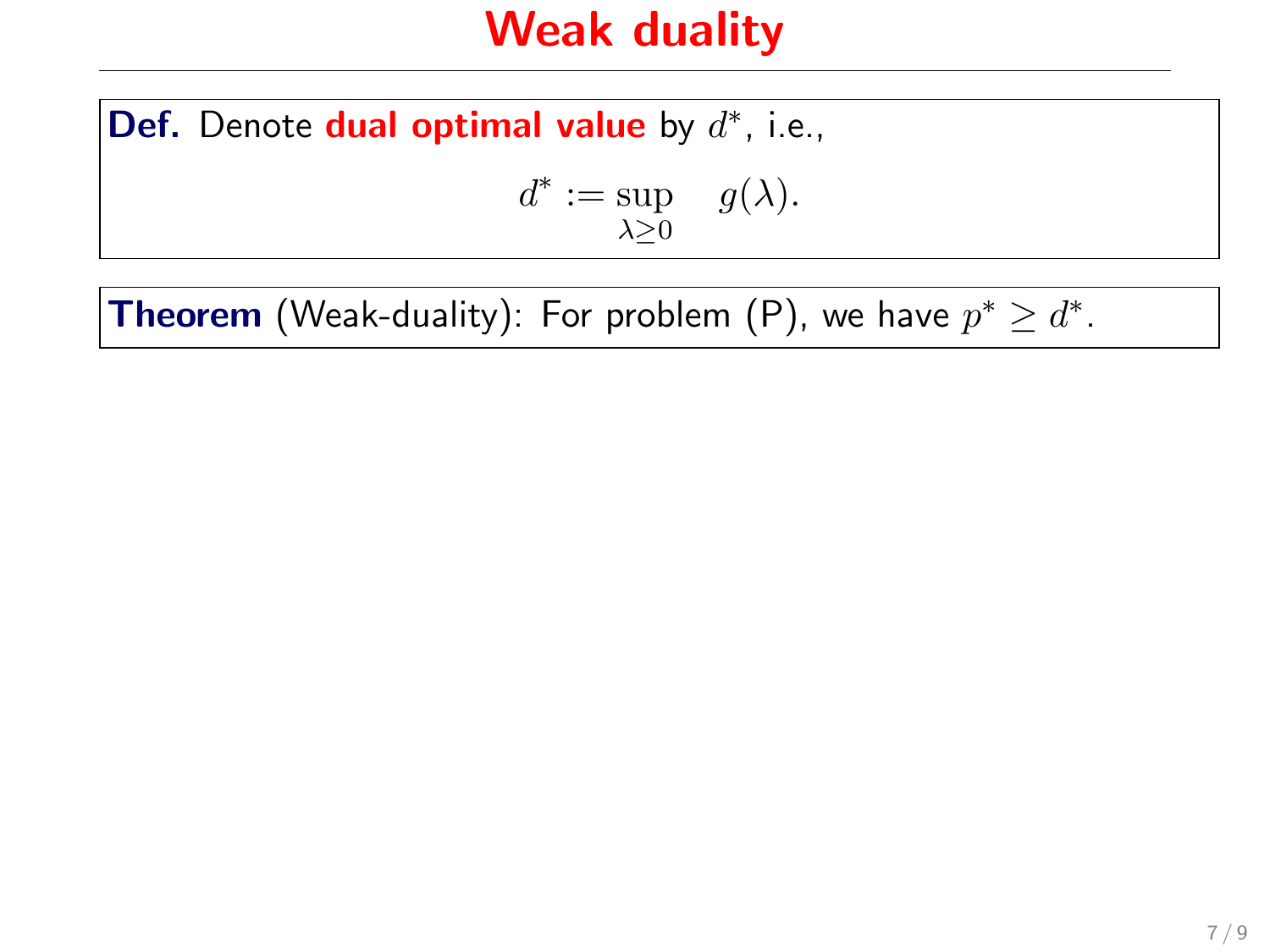### Weak duality

Def. Denote dual optimal value by  $d^*$ , i.e.,

$$
d^* := \sup_{\lambda \ge 0} \quad g(\lambda).
$$

**Theorem** (Weak-duality): For problem (P), we have  $p^* \geq d^*$ .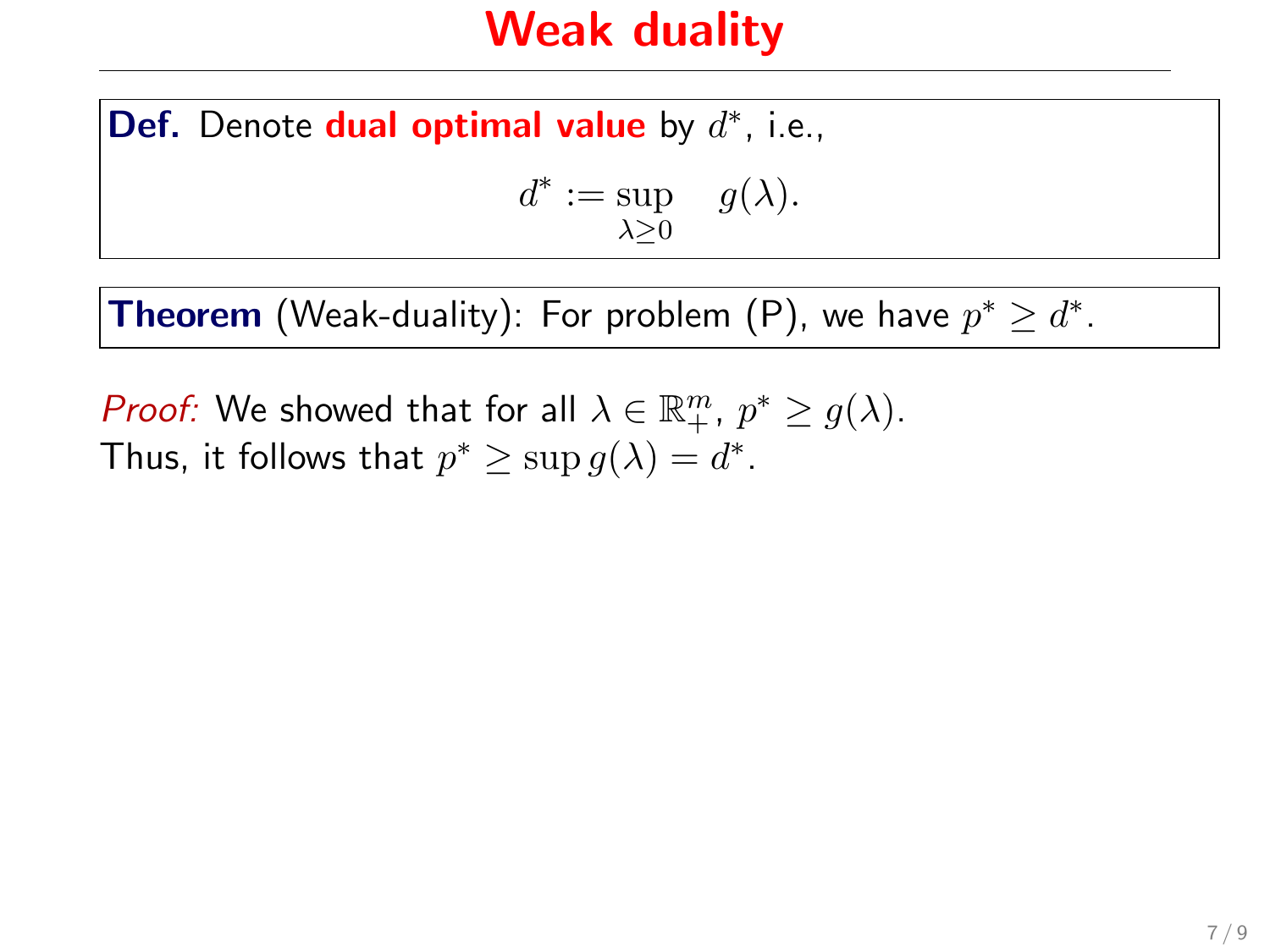### Weak duality

Def. Denote dual optimal value by  $d^*$ , i.e.,

$$
d^* := \sup_{\lambda \ge 0} \quad g(\lambda).
$$

**Theorem** (Weak-duality): For problem (P), we have  $p^* \geq d^*$ .

*Proof:* We showed that for all  $\lambda \in \mathbb{R}_+^m$ ,  $p^* \ge g(\lambda)$ . Thus, it follows that  $p^* \geq \sup g(\lambda) = d^*$ .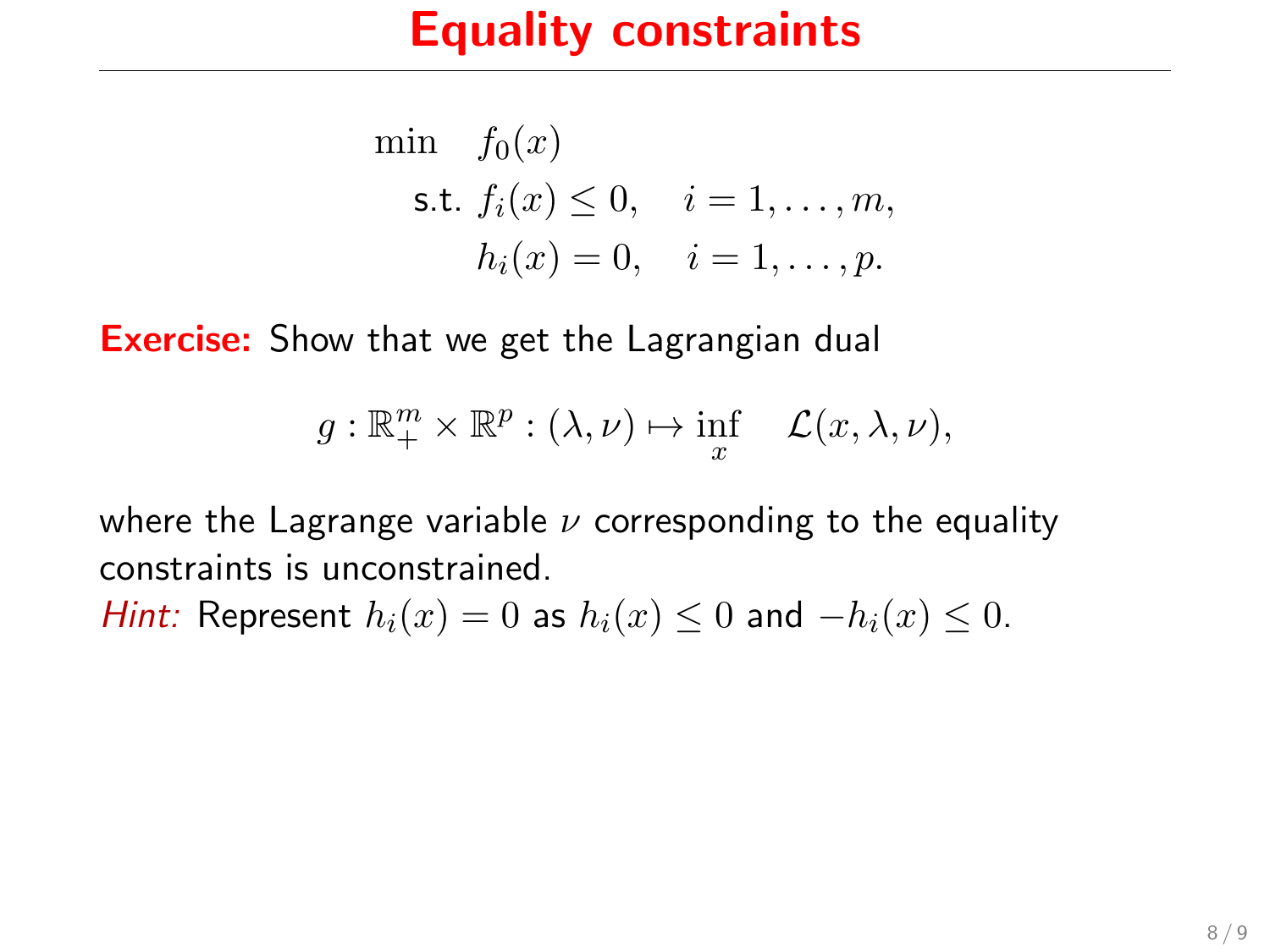### Equality constraints

min 
$$
f_0(x)
$$
  
\ns.t.  $f_i(x) \le 0$ ,  $i = 1,..., m$ ,  
\n $h_i(x) = 0$ ,  $i = 1,..., p$ .

**Exercise:** Show that we get the Lagrangian dual

$$
g: \mathbb{R}^m_+ \times \mathbb{R}^p : (\lambda, \nu) \mapsto \inf_x \mathcal{L}(x, \lambda, \nu),
$$

where the Lagrange variable  $\nu$  corresponding to the equality constraints is unconstrained.

*Hint:* Represent  $h_i(x) = 0$  as  $h_i(x) \le 0$  and  $-h_i(x) \le 0$ .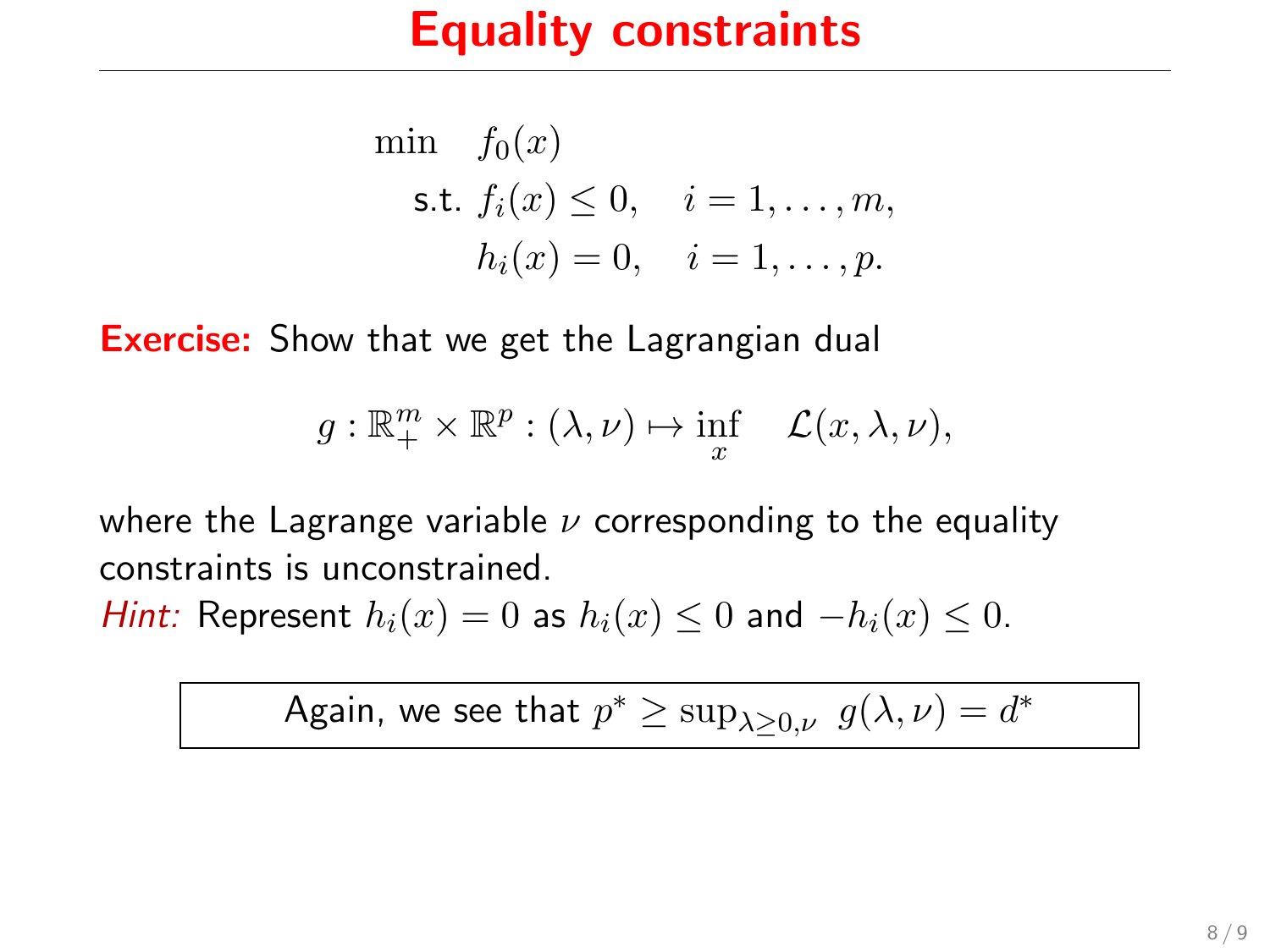### Equality constraints

min 
$$
f_0(x)
$$
  
\ns.t.  $f_i(x) \le 0$ ,  $i = 1,..., m$ ,  
\n $h_i(x) = 0$ ,  $i = 1,..., p$ .

**Exercise:** Show that we get the Lagrangian dual

$$
g: \mathbb{R}^m_+ \times \mathbb{R}^p : (\lambda, \nu) \mapsto \inf_x \mathcal{L}(x, \lambda, \nu),
$$

where the Lagrange variable  $\nu$  corresponding to the equality constraints is unconstrained.

*Hint:* Represent  $h_i(x) = 0$  as  $h_i(x) \le 0$  and  $-h_i(x) \le 0$ .

Again, we see that 
$$
p^* \ge \sup_{\lambda \ge 0, \nu} g(\lambda, \nu) = d^*
$$